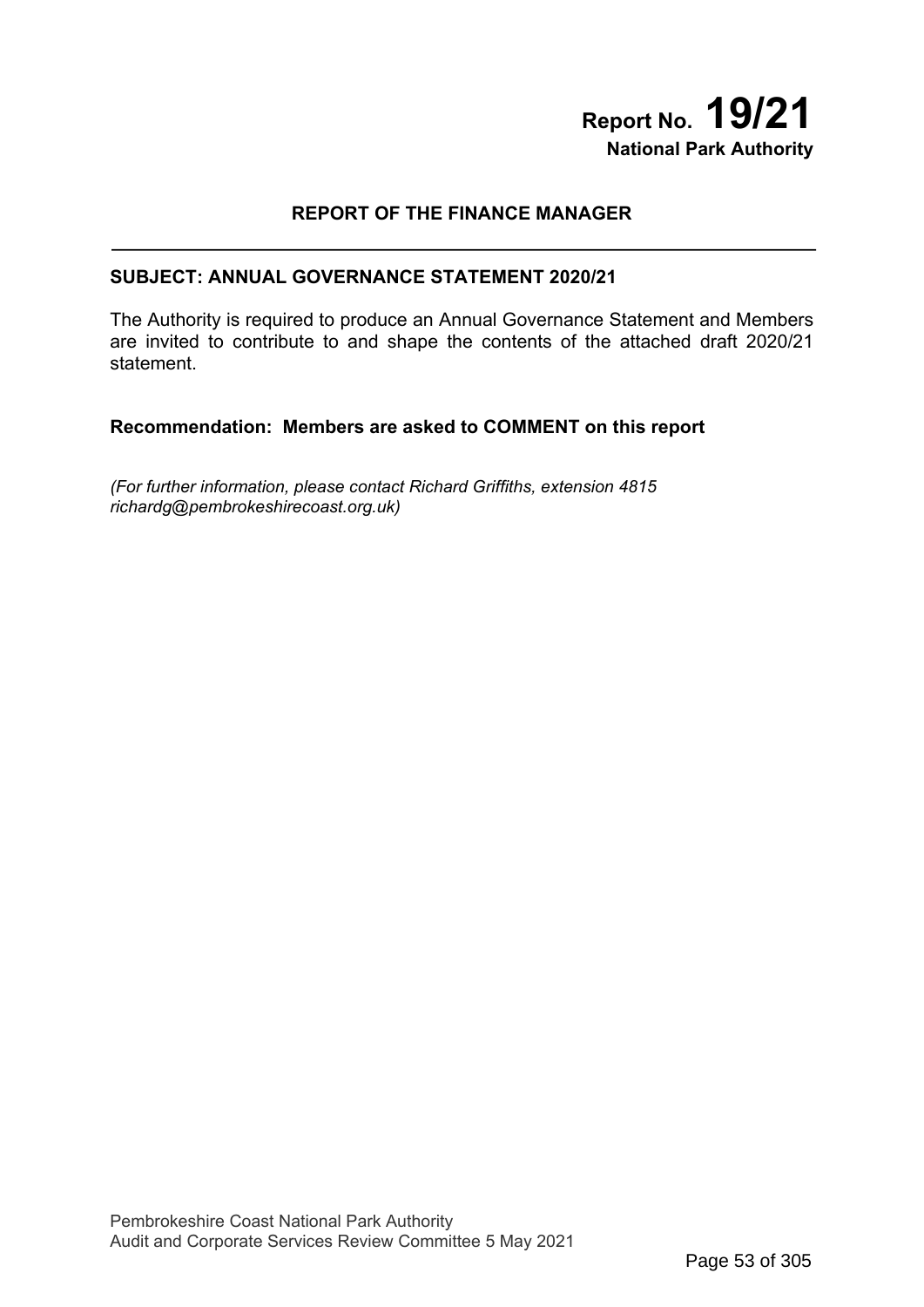# **Report No. 19/21 National Park Authority**

# **REPORT OF THE FINANCE MANAGER**

## **SUBJECT: ANNUAL GOVERNANCE STATEMENT 2020/21**

The Authority is required to produce an Annual Governance Statement and Members are invited to contribute to and shape the contents of the attached draft 2020/21 statement.

# **Recommendation: Members are asked to COMMENT on this report**

*(For further information, please contact Richard Griffiths, extension 4815 richardg@pembrokeshirecoast.org.uk)*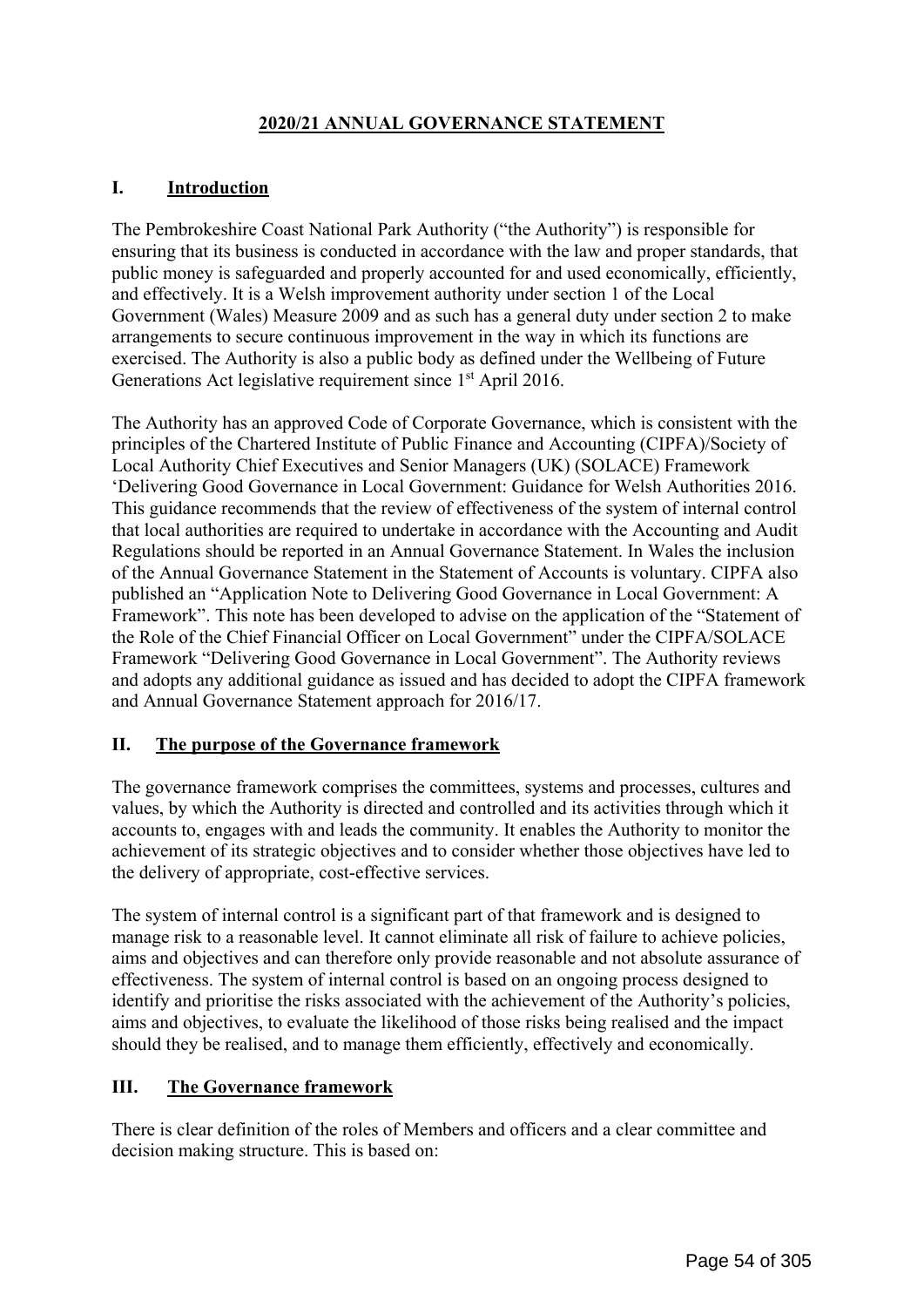# **2020/21 ANNUAL GOVERNANCE STATEMENT**

# **I. Introduction**

The Pembrokeshire Coast National Park Authority ("the Authority") is responsible for ensuring that its business is conducted in accordance with the law and proper standards, that public money is safeguarded and properly accounted for and used economically, efficiently, and effectively. It is a Welsh improvement authority under section 1 of the Local Government (Wales) Measure 2009 and as such has a general duty under section 2 to make arrangements to secure continuous improvement in the way in which its functions are exercised. The Authority is also a public body as defined under the Wellbeing of Future Generations Act legislative requirement since 1<sup>st</sup> April 2016.

The Authority has an approved Code of Corporate Governance, which is consistent with the principles of the Chartered Institute of Public Finance and Accounting (CIPFA)/Society of Local Authority Chief Executives and Senior Managers (UK) (SOLACE) Framework 'Delivering Good Governance in Local Government: Guidance for Welsh Authorities 2016. This guidance recommends that the review of effectiveness of the system of internal control that local authorities are required to undertake in accordance with the Accounting and Audit Regulations should be reported in an Annual Governance Statement. In Wales the inclusion of the Annual Governance Statement in the Statement of Accounts is voluntary. CIPFA also published an "Application Note to Delivering Good Governance in Local Government: A Framework". This note has been developed to advise on the application of the "Statement of the Role of the Chief Financial Officer on Local Government" under the CIPFA/SOLACE Framework "Delivering Good Governance in Local Government". The Authority reviews and adopts any additional guidance as issued and has decided to adopt the CIPFA framework and Annual Governance Statement approach for 2016/17.

# **II. The purpose of the Governance framework**

The governance framework comprises the committees, systems and processes, cultures and values, by which the Authority is directed and controlled and its activities through which it accounts to, engages with and leads the community. It enables the Authority to monitor the achievement of its strategic objectives and to consider whether those objectives have led to the delivery of appropriate, cost-effective services.

The system of internal control is a significant part of that framework and is designed to manage risk to a reasonable level. It cannot eliminate all risk of failure to achieve policies, aims and objectives and can therefore only provide reasonable and not absolute assurance of effectiveness. The system of internal control is based on an ongoing process designed to identify and prioritise the risks associated with the achievement of the Authority's policies, aims and objectives, to evaluate the likelihood of those risks being realised and the impact should they be realised, and to manage them efficiently, effectively and economically.

# **III. The Governance framework**

There is clear definition of the roles of Members and officers and a clear committee and decision making structure. This is based on: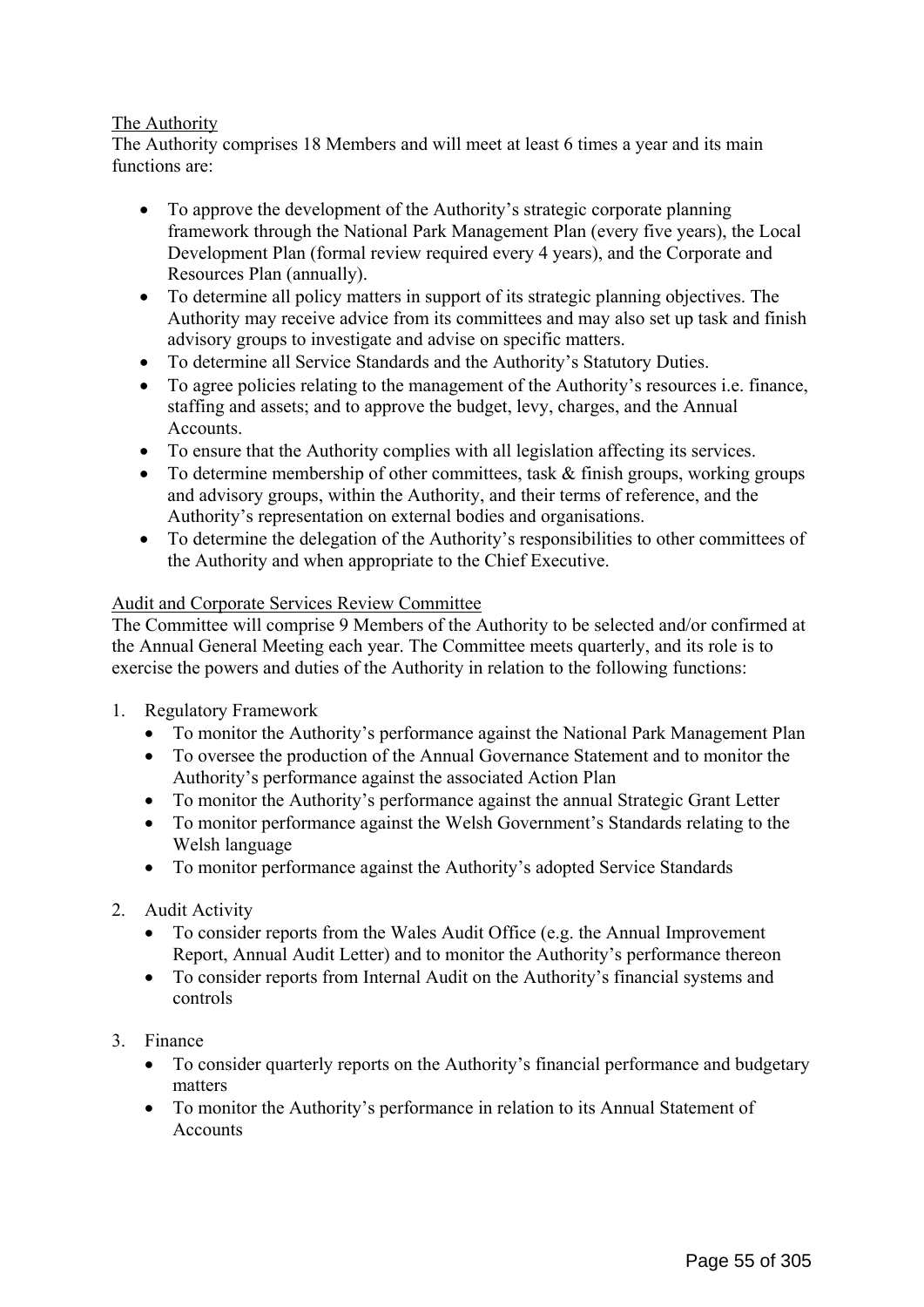# The Authority

The Authority comprises 18 Members and will meet at least 6 times a year and its main functions are:

- To approve the development of the Authority's strategic corporate planning framework through the National Park Management Plan (every five years), the Local Development Plan (formal review required every 4 years), and the Corporate and Resources Plan (annually).
- To determine all policy matters in support of its strategic planning objectives. The Authority may receive advice from its committees and may also set up task and finish advisory groups to investigate and advise on specific matters.
- To determine all Service Standards and the Authority's Statutory Duties.
- To agree policies relating to the management of the Authority's resources i.e. finance, staffing and assets; and to approve the budget, levy, charges, and the Annual Accounts.
- To ensure that the Authority complies with all legislation affecting its services.
- To determine membership of other committees, task & finish groups, working groups and advisory groups, within the Authority, and their terms of reference, and the Authority's representation on external bodies and organisations.
- To determine the delegation of the Authority's responsibilities to other committees of the Authority and when appropriate to the Chief Executive.

## Audit and Corporate Services Review Committee

The Committee will comprise 9 Members of the Authority to be selected and/or confirmed at the Annual General Meeting each year. The Committee meets quarterly, and its role is to exercise the powers and duties of the Authority in relation to the following functions:

- 1. Regulatory Framework
	- To monitor the Authority's performance against the National Park Management Plan
	- To oversee the production of the Annual Governance Statement and to monitor the Authority's performance against the associated Action Plan
	- To monitor the Authority's performance against the annual Strategic Grant Letter
	- To monitor performance against the Welsh Government's Standards relating to the Welsh language
	- To monitor performance against the Authority's adopted Service Standards
- 2. Audit Activity
	- To consider reports from the Wales Audit Office (e.g. the Annual Improvement Report, Annual Audit Letter) and to monitor the Authority's performance thereon
	- To consider reports from Internal Audit on the Authority's financial systems and controls
- 3. Finance
	- To consider quarterly reports on the Authority's financial performance and budgetary matters
	- To monitor the Authority's performance in relation to its Annual Statement of Accounts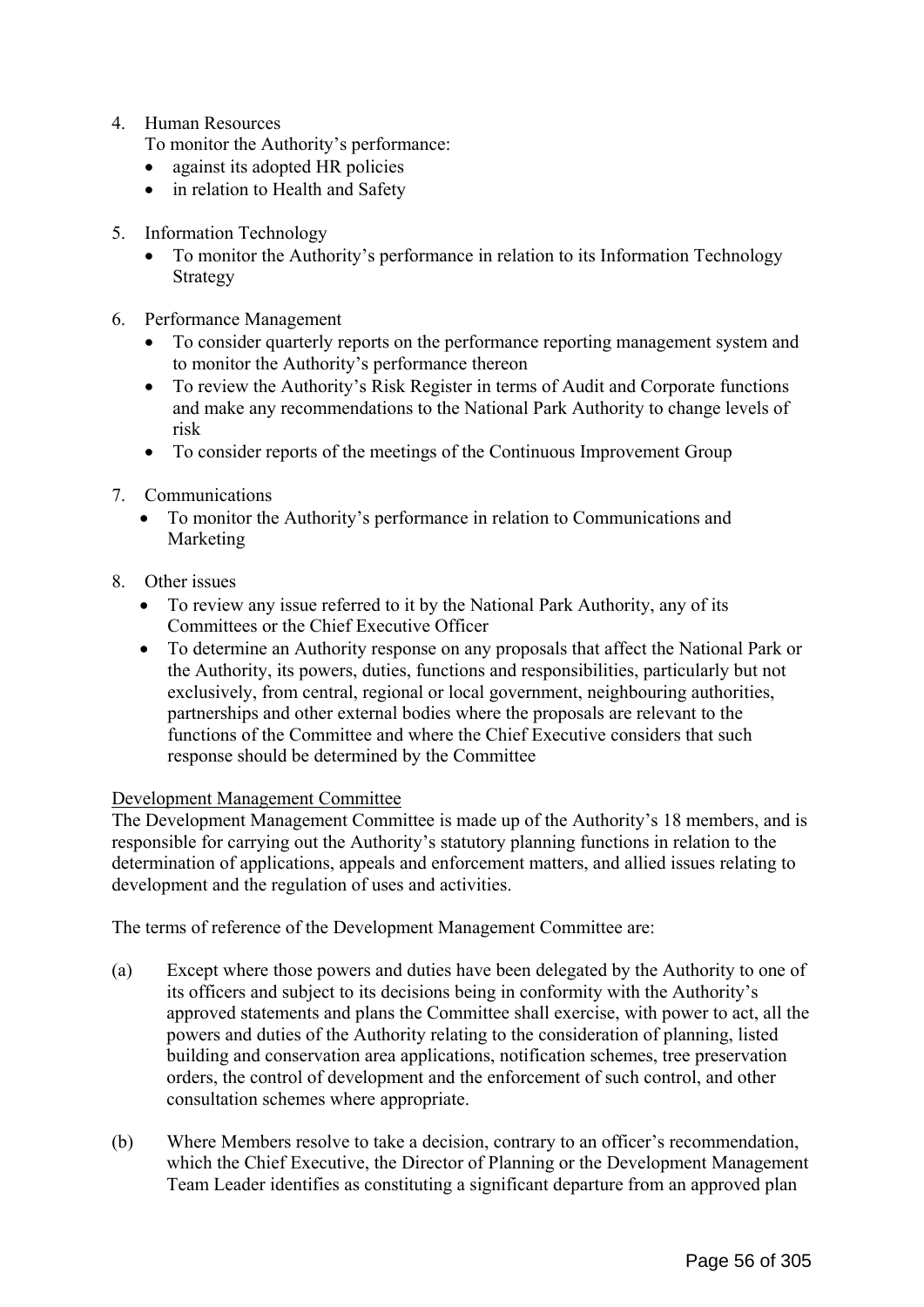4. Human Resources

To monitor the Authority's performance:

- against its adopted HR policies
- in relation to Health and Safety
- 5. Information Technology
	- To monitor the Authority's performance in relation to its Information Technology Strategy
- 6. Performance Management
	- To consider quarterly reports on the performance reporting management system and to monitor the Authority's performance thereon
	- To review the Authority's Risk Register in terms of Audit and Corporate functions and make any recommendations to the National Park Authority to change levels of risk
	- To consider reports of the meetings of the Continuous Improvement Group
- 7. Communications
	- To monitor the Authority's performance in relation to Communications and Marketing
- 8. Other issues
	- To review any issue referred to it by the National Park Authority, any of its Committees or the Chief Executive Officer
	- To determine an Authority response on any proposals that affect the National Park or the Authority, its powers, duties, functions and responsibilities, particularly but not exclusively, from central, regional or local government, neighbouring authorities, partnerships and other external bodies where the proposals are relevant to the functions of the Committee and where the Chief Executive considers that such response should be determined by the Committee

## Development Management Committee

The Development Management Committee is made up of the Authority's 18 members, and is responsible for carrying out the Authority's statutory planning functions in relation to the determination of applications, appeals and enforcement matters, and allied issues relating to development and the regulation of uses and activities.

The terms of reference of the Development Management Committee are:

- (a) Except where those powers and duties have been delegated by the Authority to one of its officers and subject to its decisions being in conformity with the Authority's approved statements and plans the Committee shall exercise, with power to act, all the powers and duties of the Authority relating to the consideration of planning, listed building and conservation area applications, notification schemes, tree preservation orders, the control of development and the enforcement of such control, and other consultation schemes where appropriate.
- (b) Where Members resolve to take a decision, contrary to an officer's recommendation, which the Chief Executive, the Director of Planning or the Development Management Team Leader identifies as constituting a significant departure from an approved plan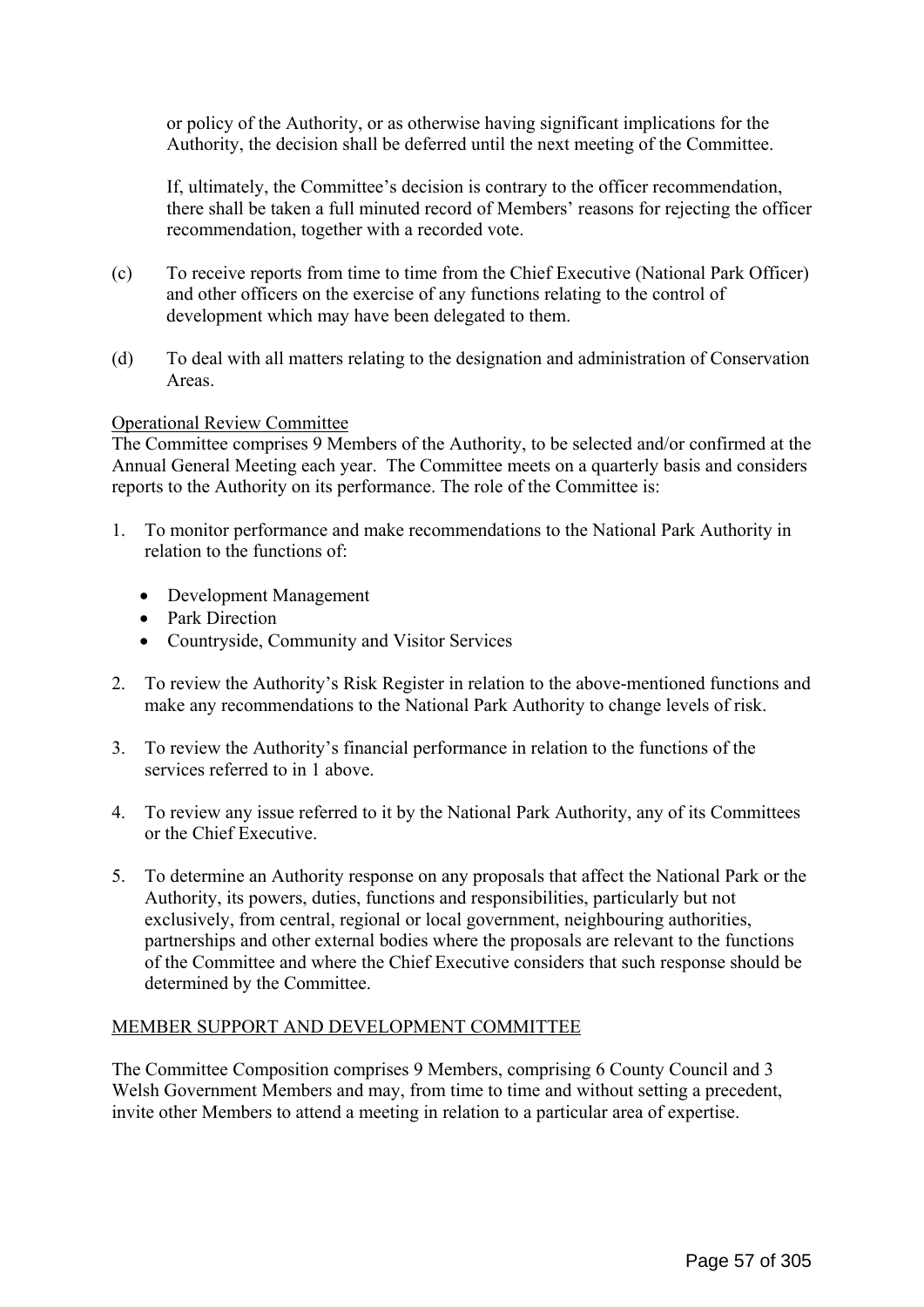or policy of the Authority, or as otherwise having significant implications for the Authority, the decision shall be deferred until the next meeting of the Committee.

 If, ultimately, the Committee's decision is contrary to the officer recommendation, there shall be taken a full minuted record of Members' reasons for rejecting the officer recommendation, together with a recorded vote.

- (c) To receive reports from time to time from the Chief Executive (National Park Officer) and other officers on the exercise of any functions relating to the control of development which may have been delegated to them.
- (d) To deal with all matters relating to the designation and administration of Conservation Areas.

## Operational Review Committee

The Committee comprises 9 Members of the Authority, to be selected and/or confirmed at the Annual General Meeting each year. The Committee meets on a quarterly basis and considers reports to the Authority on its performance. The role of the Committee is:

- 1. To monitor performance and make recommendations to the National Park Authority in relation to the functions of:
	- Development Management
	- Park Direction
	- Countryside, Community and Visitor Services
- 2. To review the Authority's Risk Register in relation to the above-mentioned functions and make any recommendations to the National Park Authority to change levels of risk.
- 3. To review the Authority's financial performance in relation to the functions of the services referred to in 1 above.
- 4. To review any issue referred to it by the National Park Authority, any of its Committees or the Chief Executive.
- 5. To determine an Authority response on any proposals that affect the National Park or the Authority, its powers, duties, functions and responsibilities, particularly but not exclusively, from central, regional or local government, neighbouring authorities, partnerships and other external bodies where the proposals are relevant to the functions of the Committee and where the Chief Executive considers that such response should be determined by the Committee.

## MEMBER SUPPORT AND DEVELOPMENT COMMITTEE

The Committee Composition comprises 9 Members, comprising 6 County Council and 3 Welsh Government Members and may, from time to time and without setting a precedent, invite other Members to attend a meeting in relation to a particular area of expertise.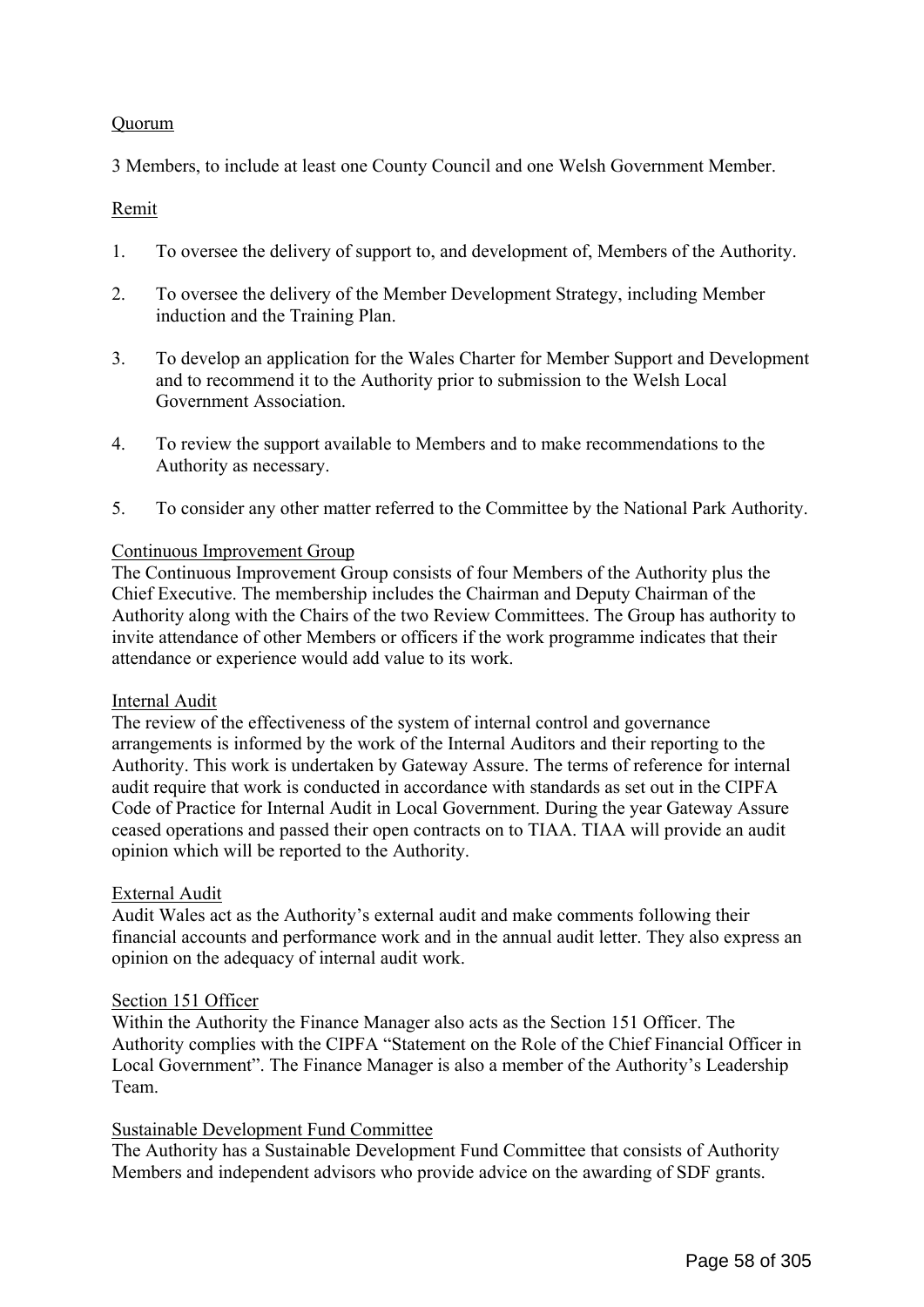## Quorum

3 Members, to include at least one County Council and one Welsh Government Member.

## Remit

- 1. To oversee the delivery of support to, and development of, Members of the Authority.
- 2. To oversee the delivery of the Member Development Strategy, including Member induction and the Training Plan.
- 3. To develop an application for the Wales Charter for Member Support and Development and to recommend it to the Authority prior to submission to the Welsh Local Government Association.
- 4. To review the support available to Members and to make recommendations to the Authority as necessary.
- 5. To consider any other matter referred to the Committee by the National Park Authority.

## Continuous Improvement Group

The Continuous Improvement Group consists of four Members of the Authority plus the Chief Executive. The membership includes the Chairman and Deputy Chairman of the Authority along with the Chairs of the two Review Committees. The Group has authority to invite attendance of other Members or officers if the work programme indicates that their attendance or experience would add value to its work.

## Internal Audit

The review of the effectiveness of the system of internal control and governance arrangements is informed by the work of the Internal Auditors and their reporting to the Authority. This work is undertaken by Gateway Assure. The terms of reference for internal audit require that work is conducted in accordance with standards as set out in the CIPFA Code of Practice for Internal Audit in Local Government. During the year Gateway Assure ceased operations and passed their open contracts on to TIAA. TIAA will provide an audit opinion which will be reported to the Authority.

# External Audit

Audit Wales act as the Authority's external audit and make comments following their financial accounts and performance work and in the annual audit letter. They also express an opinion on the adequacy of internal audit work.

## Section 151 Officer

Within the Authority the Finance Manager also acts as the Section 151 Officer. The Authority complies with the CIPFA "Statement on the Role of the Chief Financial Officer in Local Government". The Finance Manager is also a member of the Authority's Leadership Team.

## Sustainable Development Fund Committee

The Authority has a Sustainable Development Fund Committee that consists of Authority Members and independent advisors who provide advice on the awarding of SDF grants.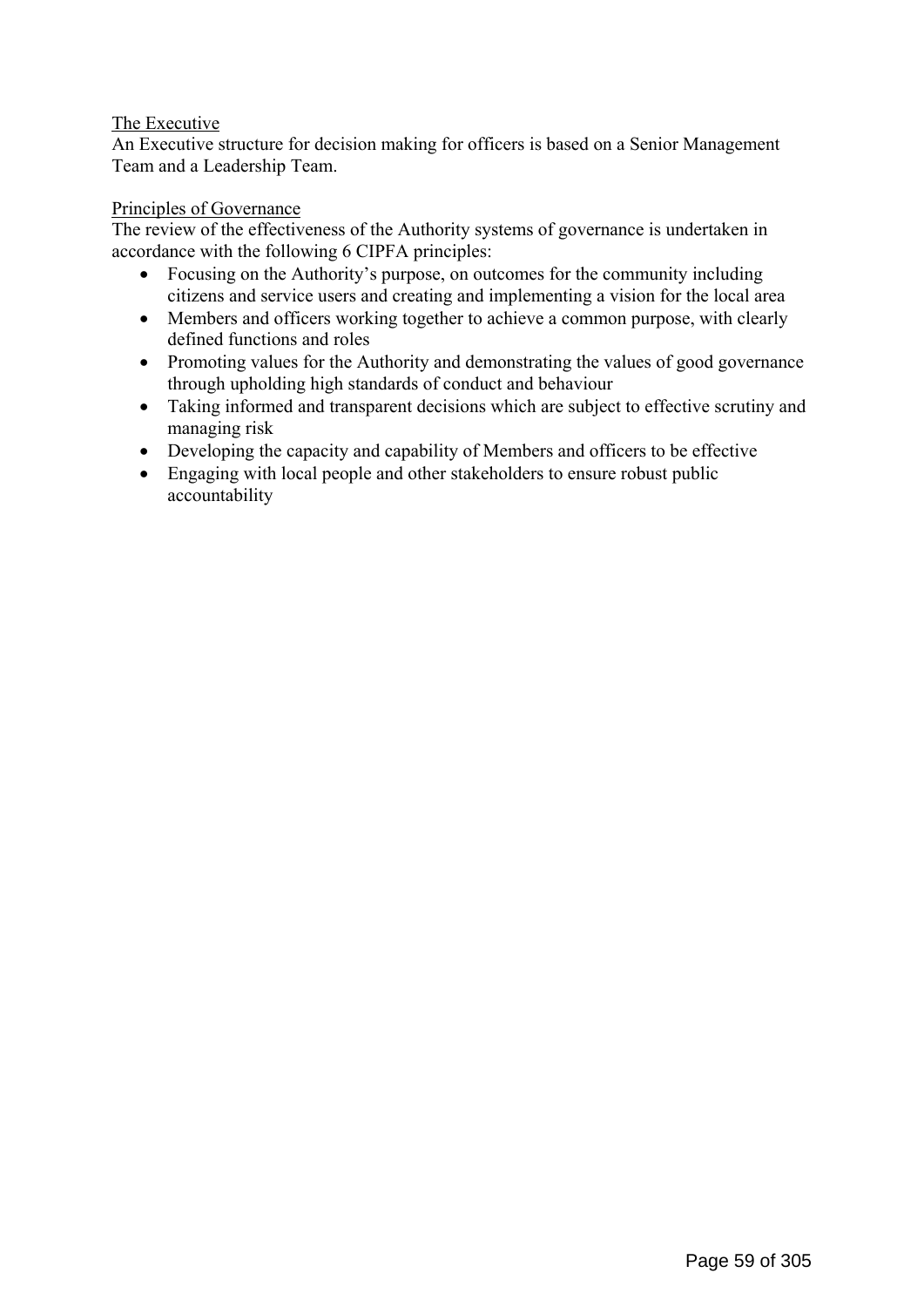# The Executive

An Executive structure for decision making for officers is based on a Senior Management Team and a Leadership Team.

## Principles of Governance

The review of the effectiveness of the Authority systems of governance is undertaken in accordance with the following 6 CIPFA principles:

- Focusing on the Authority's purpose, on outcomes for the community including citizens and service users and creating and implementing a vision for the local area
- Members and officers working together to achieve a common purpose, with clearly defined functions and roles
- Promoting values for the Authority and demonstrating the values of good governance through upholding high standards of conduct and behaviour
- Taking informed and transparent decisions which are subject to effective scrutiny and managing risk
- Developing the capacity and capability of Members and officers to be effective
- Engaging with local people and other stakeholders to ensure robust public accountability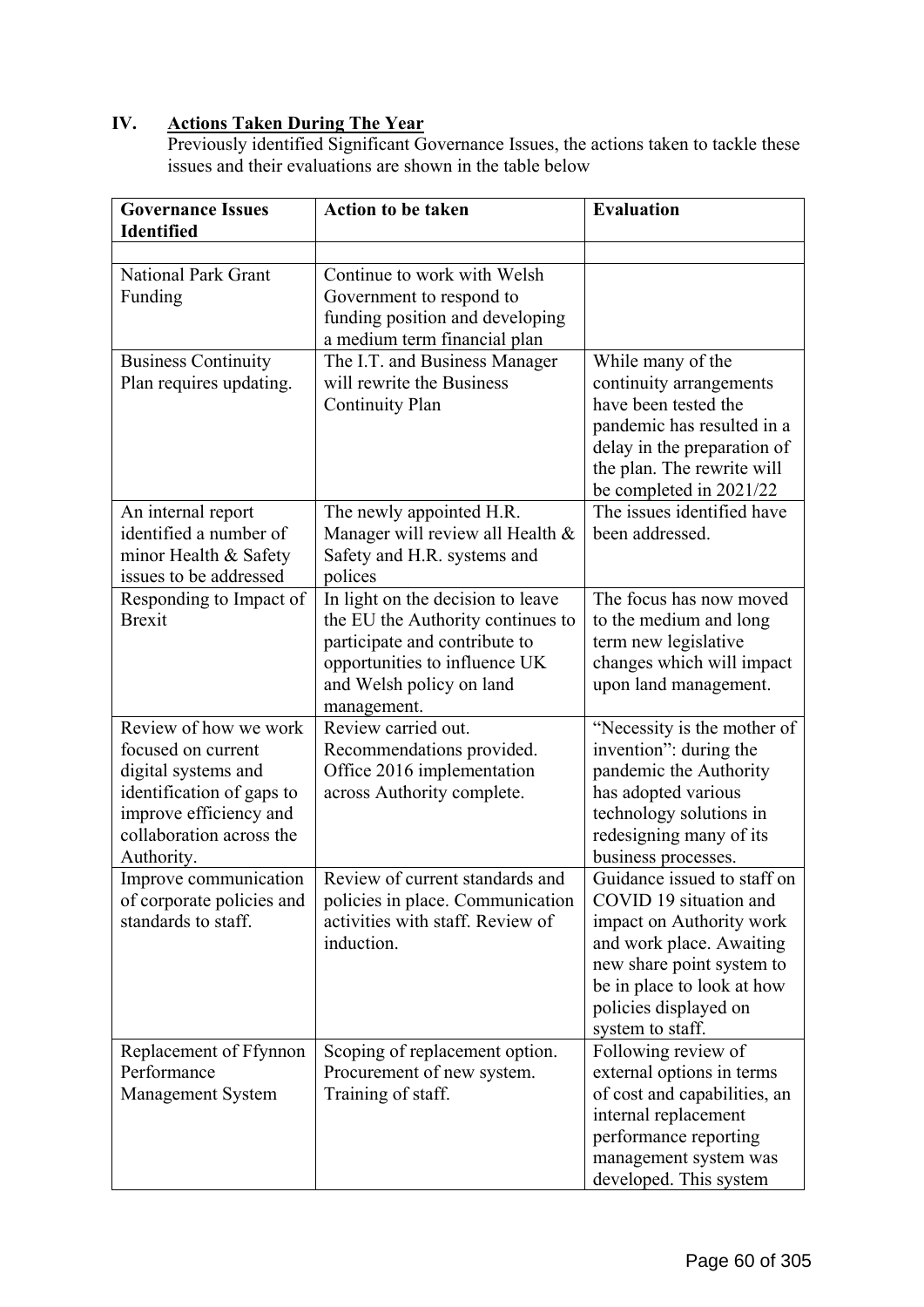# **IV. Actions Taken During The Year**

Previously identified Significant Governance Issues, the actions taken to tackle these issues and their evaluations are shown in the table below

| <b>Governance Issues</b><br><b>Identified</b> | <b>Action to be taken</b>                                    | <b>Evaluation</b>                                     |
|-----------------------------------------------|--------------------------------------------------------------|-------------------------------------------------------|
|                                               |                                                              |                                                       |
| <b>National Park Grant</b>                    | Continue to work with Welsh                                  |                                                       |
| Funding                                       | Government to respond to                                     |                                                       |
|                                               | funding position and developing                              |                                                       |
|                                               | a medium term financial plan                                 |                                                       |
| <b>Business Continuity</b>                    | The I.T. and Business Manager                                | While many of the                                     |
| Plan requires updating.                       | will rewrite the Business                                    | continuity arrangements<br>have been tested the       |
|                                               | <b>Continuity Plan</b>                                       | pandemic has resulted in a                            |
|                                               |                                                              | delay in the preparation of                           |
|                                               |                                                              | the plan. The rewrite will                            |
|                                               |                                                              | be completed in 2021/22                               |
| An internal report                            | The newly appointed H.R.                                     | The issues identified have                            |
| identified a number of                        | Manager will review all Health &                             | been addressed.                                       |
| minor Health & Safety                         | Safety and H.R. systems and                                  |                                                       |
| issues to be addressed                        | polices                                                      |                                                       |
| Responding to Impact of                       | In light on the decision to leave                            | The focus has now moved                               |
| <b>Brexit</b>                                 | the EU the Authority continues to                            | to the medium and long                                |
|                                               | participate and contribute to                                | term new legislative                                  |
|                                               | opportunities to influence UK                                | changes which will impact                             |
|                                               | and Welsh policy on land                                     | upon land management.                                 |
| Review of how we work                         | management.                                                  |                                                       |
| focused on current                            | Review carried out.<br>Recommendations provided.             | "Necessity is the mother of<br>invention": during the |
| digital systems and                           | Office 2016 implementation                                   | pandemic the Authority                                |
| identification of gaps to                     | across Authority complete.                                   | has adopted various                                   |
| improve efficiency and                        |                                                              | technology solutions in                               |
| collaboration across the                      |                                                              | redesigning many of its                               |
| Authority.                                    |                                                              | business processes.                                   |
| Improve communication                         | Review of current standards and                              | Guidance issued to staff on                           |
| of corporate policies and                     | policies in place. Communication                             | COVID 19 situation and                                |
| standards to staff.                           | activities with staff. Review of                             | impact on Authority work                              |
|                                               | induction.                                                   | and work place. Awaiting                              |
|                                               |                                                              | new share point system to                             |
|                                               |                                                              | be in place to look at how                            |
|                                               |                                                              | policies displayed on                                 |
|                                               |                                                              | system to staff.                                      |
| Replacement of Ffynnon<br>Performance         | Scoping of replacement option.<br>Procurement of new system. | Following review of<br>external options in terms      |
| Management System                             | Training of staff.                                           | of cost and capabilities, an                          |
|                                               |                                                              | internal replacement                                  |
|                                               |                                                              | performance reporting                                 |
|                                               |                                                              | management system was                                 |
|                                               |                                                              | developed. This system                                |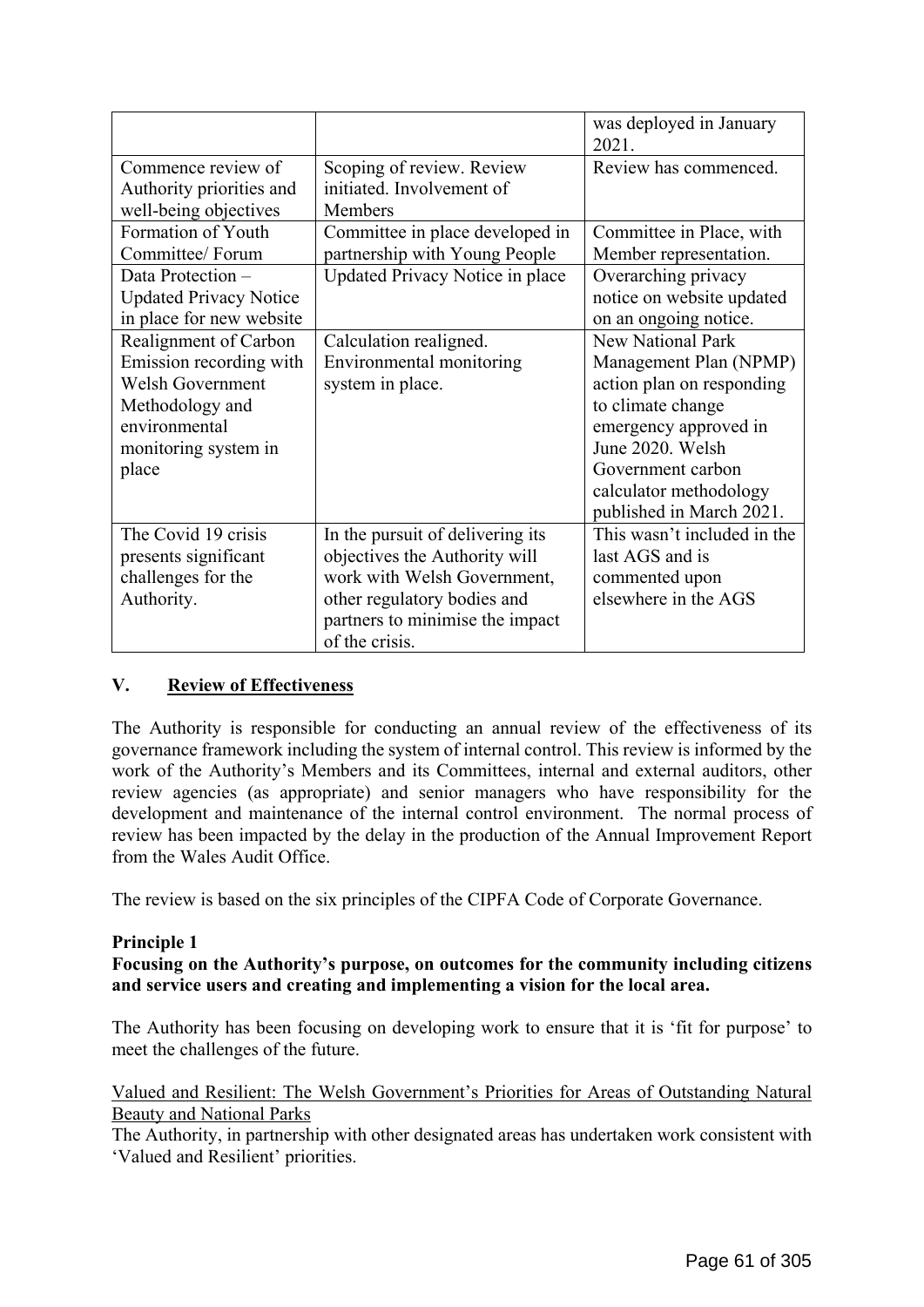|                                                                                                                                                  |                                                                                                                                                                                      | was deployed in January<br>2021.                                                                                                                                                                                             |
|--------------------------------------------------------------------------------------------------------------------------------------------------|--------------------------------------------------------------------------------------------------------------------------------------------------------------------------------------|------------------------------------------------------------------------------------------------------------------------------------------------------------------------------------------------------------------------------|
| Commence review of<br>Authority priorities and<br>well-being objectives                                                                          | Scoping of review. Review<br>initiated. Involvement of<br>Members                                                                                                                    | Review has commenced.                                                                                                                                                                                                        |
| Formation of Youth<br>Committee/ Forum                                                                                                           | Committee in place developed in<br>partnership with Young People                                                                                                                     | Committee in Place, with<br>Member representation.                                                                                                                                                                           |
| Data Protection -<br><b>Updated Privacy Notice</b><br>in place for new website                                                                   | Updated Privacy Notice in place                                                                                                                                                      | Overarching privacy<br>notice on website updated<br>on an ongoing notice.                                                                                                                                                    |
| Realignment of Carbon<br>Emission recording with<br><b>Welsh Government</b><br>Methodology and<br>environmental<br>monitoring system in<br>place | Calculation realigned.<br>Environmental monitoring<br>system in place.                                                                                                               | <b>New National Park</b><br>Management Plan (NPMP)<br>action plan on responding<br>to climate change<br>emergency approved in<br>June 2020. Welsh<br>Government carbon<br>calculator methodology<br>published in March 2021. |
| The Covid 19 crisis<br>presents significant<br>challenges for the<br>Authority.                                                                  | In the pursuit of delivering its<br>objectives the Authority will<br>work with Welsh Government,<br>other regulatory bodies and<br>partners to minimise the impact<br>of the crisis. | This wasn't included in the<br>last AGS and is<br>commented upon<br>elsewhere in the AGS                                                                                                                                     |

# **V. Review of Effectiveness**

The Authority is responsible for conducting an annual review of the effectiveness of its governance framework including the system of internal control. This review is informed by the work of the Authority's Members and its Committees, internal and external auditors, other review agencies (as appropriate) and senior managers who have responsibility for the development and maintenance of the internal control environment. The normal process of review has been impacted by the delay in the production of the Annual Improvement Report from the Wales Audit Office.

The review is based on the six principles of the CIPFA Code of Corporate Governance.

## **Principle 1**

**Focusing on the Authority's purpose, on outcomes for the community including citizens and service users and creating and implementing a vision for the local area.** 

The Authority has been focusing on developing work to ensure that it is 'fit for purpose' to meet the challenges of the future.

## Valued and Resilient: The Welsh Government's Priorities for Areas of Outstanding Natural Beauty and National Parks

The Authority, in partnership with other designated areas has undertaken work consistent with 'Valued and Resilient' priorities.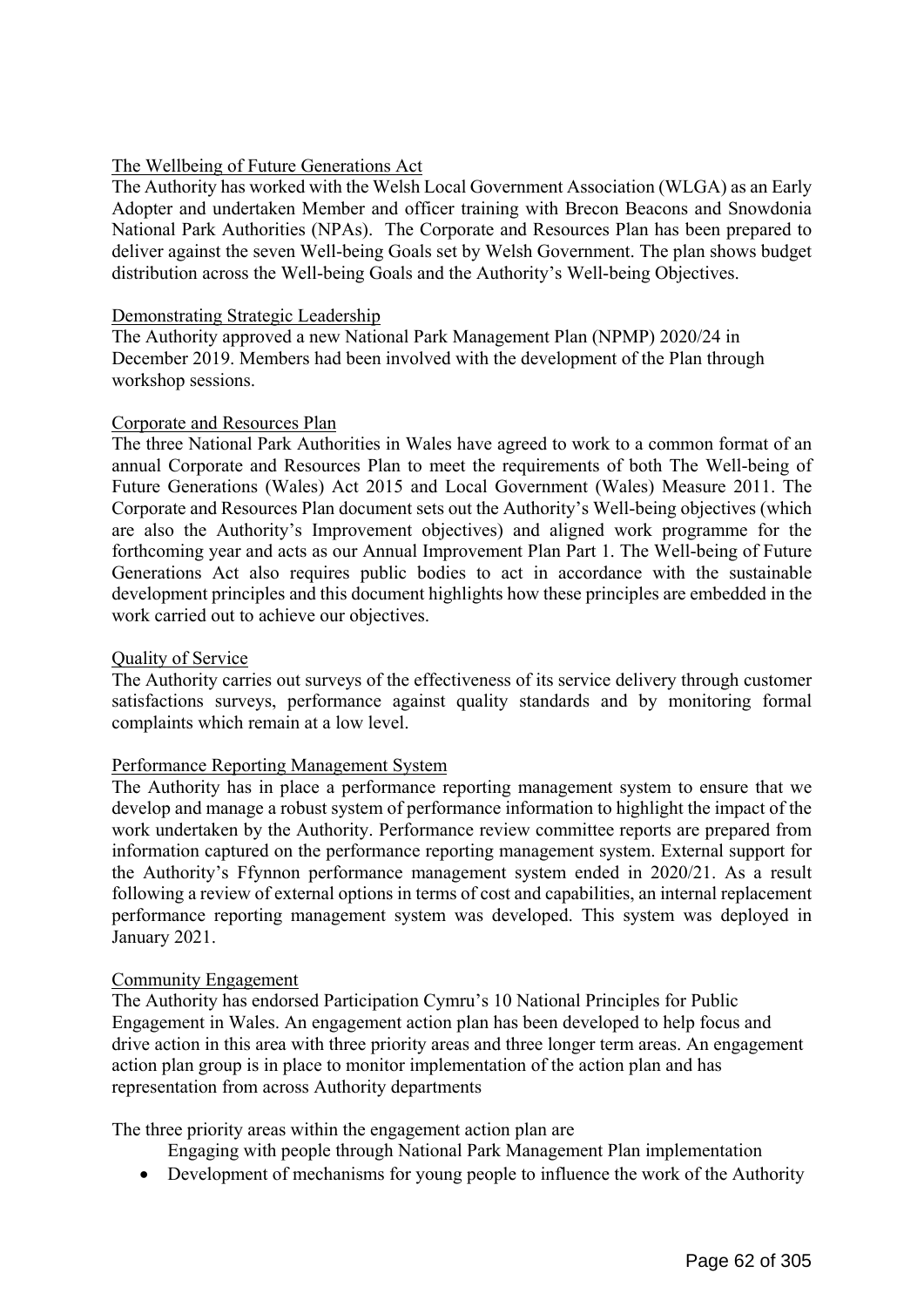## The Wellbeing of Future Generations Act

The Authority has worked with the Welsh Local Government Association (WLGA) as an Early Adopter and undertaken Member and officer training with Brecon Beacons and Snowdonia National Park Authorities (NPAs). The Corporate and Resources Plan has been prepared to deliver against the seven Well-being Goals set by Welsh Government. The plan shows budget distribution across the Well-being Goals and the Authority's Well-being Objectives.

## Demonstrating Strategic Leadership

The Authority approved a new National Park Management Plan (NPMP) 2020/24 in December 2019. Members had been involved with the development of the Plan through workshop sessions.

#### Corporate and Resources Plan

The three National Park Authorities in Wales have agreed to work to a common format of an annual Corporate and Resources Plan to meet the requirements of both The Well-being of Future Generations (Wales) Act 2015 and Local Government (Wales) Measure 2011. The Corporate and Resources Plan document sets out the Authority's Well-being objectives (which are also the Authority's Improvement objectives) and aligned work programme for the forthcoming year and acts as our Annual Improvement Plan Part 1. The Well-being of Future Generations Act also requires public bodies to act in accordance with the sustainable development principles and this document highlights how these principles are embedded in the work carried out to achieve our objectives.

#### Quality of Service

The Authority carries out surveys of the effectiveness of its service delivery through customer satisfactions surveys, performance against quality standards and by monitoring formal complaints which remain at a low level.

## Performance Reporting Management System

The Authority has in place a performance reporting management system to ensure that we develop and manage a robust system of performance information to highlight the impact of the work undertaken by the Authority. Performance review committee reports are prepared from information captured on the performance reporting management system. External support for the Authority's Ffynnon performance management system ended in 2020/21. As a result following a review of external options in terms of cost and capabilities, an internal replacement performance reporting management system was developed. This system was deployed in January 2021.

#### Community Engagement

The Authority has endorsed Participation Cymru's 10 National Principles for Public Engagement in Wales. An engagement action plan has been developed to help focus and drive action in this area with three priority areas and three longer term areas. An engagement action plan group is in place to monitor implementation of the action plan and has representation from across Authority departments

The three priority areas within the engagement action plan are

Engaging with people through National Park Management Plan implementation

• Development of mechanisms for young people to influence the work of the Authority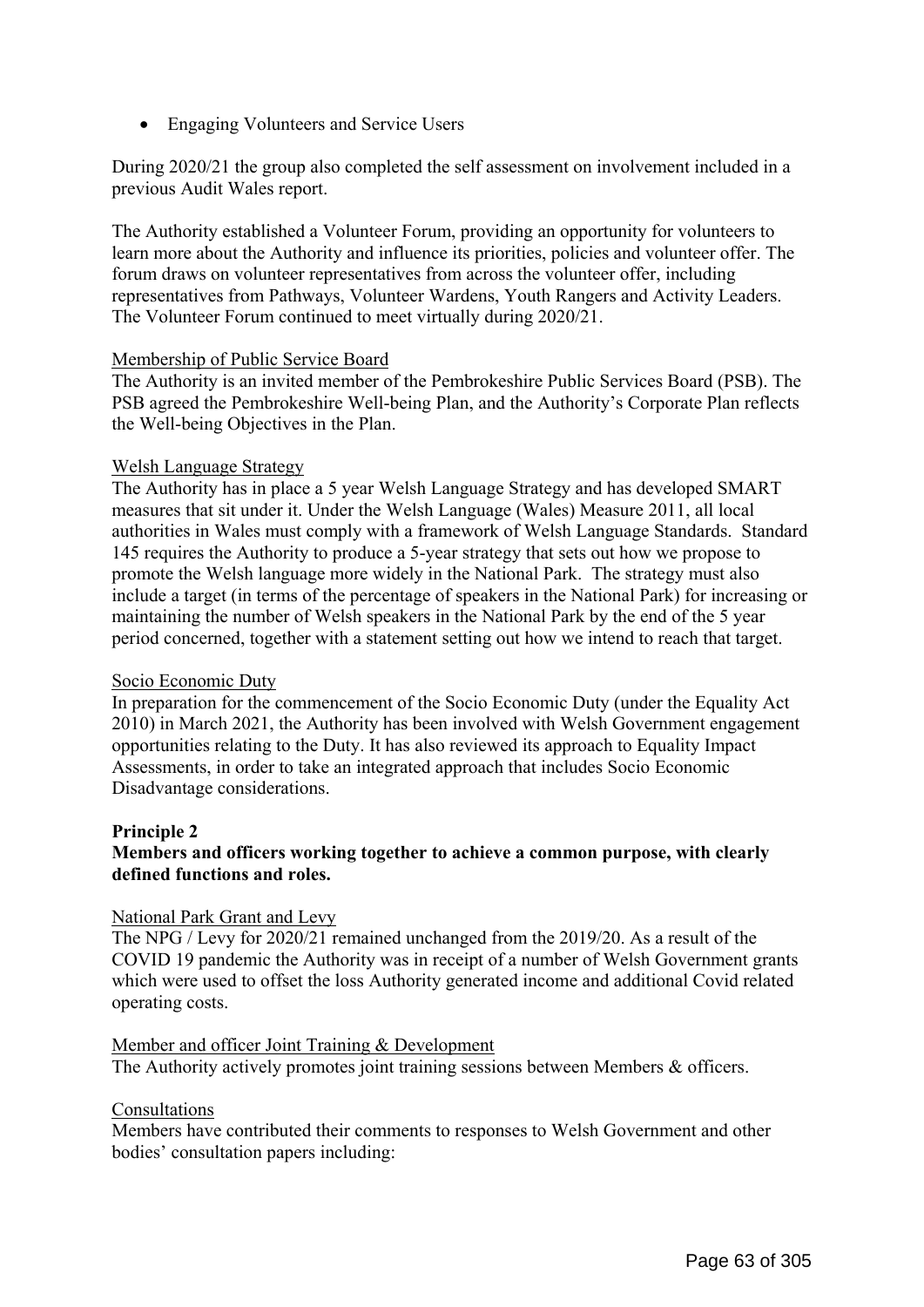• Engaging Volunteers and Service Users

During 2020/21 the group also completed the self assessment on involvement included in a previous Audit Wales report.

The Authority established a Volunteer Forum, providing an opportunity for volunteers to learn more about the Authority and influence its priorities, policies and volunteer offer. The forum draws on volunteer representatives from across the volunteer offer, including representatives from Pathways, Volunteer Wardens, Youth Rangers and Activity Leaders. The Volunteer Forum continued to meet virtually during 2020/21.

## Membership of Public Service Board

The Authority is an invited member of the Pembrokeshire Public Services Board (PSB). The PSB agreed the Pembrokeshire Well-being Plan, and the Authority's Corporate Plan reflects the Well-being Objectives in the Plan.

## Welsh Language Strategy

The Authority has in place a 5 year Welsh Language Strategy and has developed SMART measures that sit under it. Under the Welsh Language (Wales) Measure 2011, all local authorities in Wales must comply with a framework of Welsh Language Standards. Standard 145 requires the Authority to produce a 5-year strategy that sets out how we propose to promote the Welsh language more widely in the National Park. The strategy must also include a target (in terms of the percentage of speakers in the National Park) for increasing or maintaining the number of Welsh speakers in the National Park by the end of the 5 year period concerned, together with a statement setting out how we intend to reach that target.

## Socio Economic Duty

In preparation for the commencement of the Socio Economic Duty (under the Equality Act 2010) in March 2021, the Authority has been involved with Welsh Government engagement opportunities relating to the Duty. It has also reviewed its approach to Equality Impact Assessments, in order to take an integrated approach that includes Socio Economic Disadvantage considerations.

# **Principle 2**

# **Members and officers working together to achieve a common purpose, with clearly defined functions and roles.**

## National Park Grant and Levy

The NPG / Levy for 2020/21 remained unchanged from the 2019/20. As a result of the COVID 19 pandemic the Authority was in receipt of a number of Welsh Government grants which were used to offset the loss Authority generated income and additional Covid related operating costs.

## Member and officer Joint Training & Development

The Authority actively promotes joint training sessions between Members & officers.

## Consultations

Members have contributed their comments to responses to Welsh Government and other bodies' consultation papers including: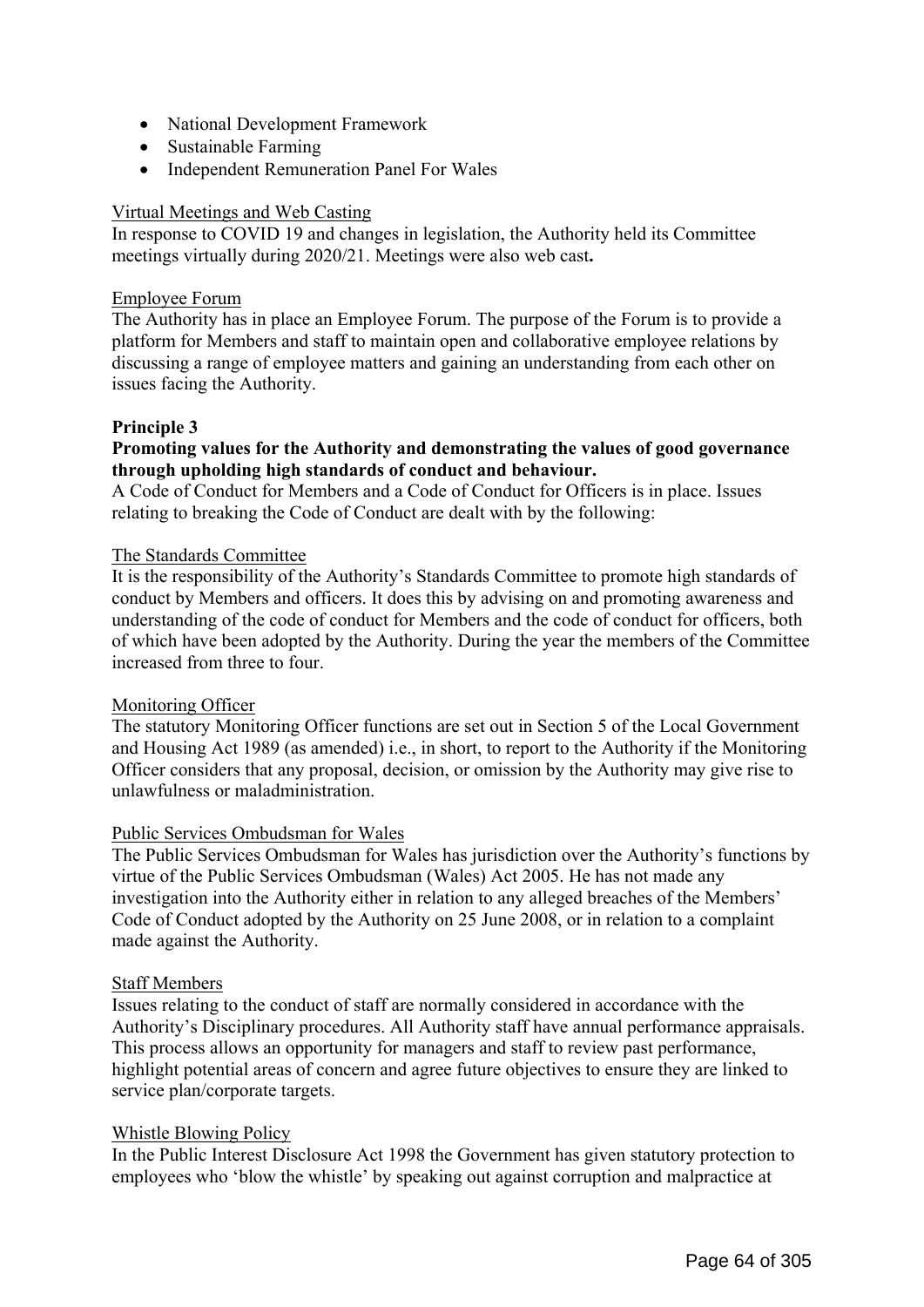- National Development Framework
- Sustainable Farming
- Independent Remuneration Panel For Wales

## Virtual Meetings and Web Casting

In response to COVID 19 and changes in legislation, the Authority held its Committee meetings virtually during 2020/21. Meetings were also web cast**.** 

## Employee Forum

The Authority has in place an Employee Forum. The purpose of the Forum is to provide a platform for Members and staff to maintain open and collaborative employee relations by discussing a range of employee matters and gaining an understanding from each other on issues facing the Authority.

# **Principle 3**

## **Promoting values for the Authority and demonstrating the values of good governance through upholding high standards of conduct and behaviour.**

A Code of Conduct for Members and a Code of Conduct for Officers is in place. Issues relating to breaking the Code of Conduct are dealt with by the following:

## The Standards Committee

It is the responsibility of the Authority's Standards Committee to promote high standards of conduct by Members and officers. It does this by advising on and promoting awareness and understanding of the code of conduct for Members and the code of conduct for officers, both of which have been adopted by the Authority. During the year the members of the Committee increased from three to four.

## Monitoring Officer

The statutory Monitoring Officer functions are set out in Section 5 of the Local Government and Housing Act 1989 (as amended) i.e., in short, to report to the Authority if the Monitoring Officer considers that any proposal, decision, or omission by the Authority may give rise to unlawfulness or maladministration.

## Public Services Ombudsman for Wales

The Public Services Ombudsman for Wales has jurisdiction over the Authority's functions by virtue of the Public Services Ombudsman (Wales) Act 2005. He has not made any investigation into the Authority either in relation to any alleged breaches of the Members' Code of Conduct adopted by the Authority on 25 June 2008, or in relation to a complaint made against the Authority.

## Staff Members

Issues relating to the conduct of staff are normally considered in accordance with the Authority's Disciplinary procedures. All Authority staff have annual performance appraisals. This process allows an opportunity for managers and staff to review past performance, highlight potential areas of concern and agree future objectives to ensure they are linked to service plan/corporate targets.

## Whistle Blowing Policy

In the Public Interest Disclosure Act 1998 the Government has given statutory protection to employees who 'blow the whistle' by speaking out against corruption and malpractice at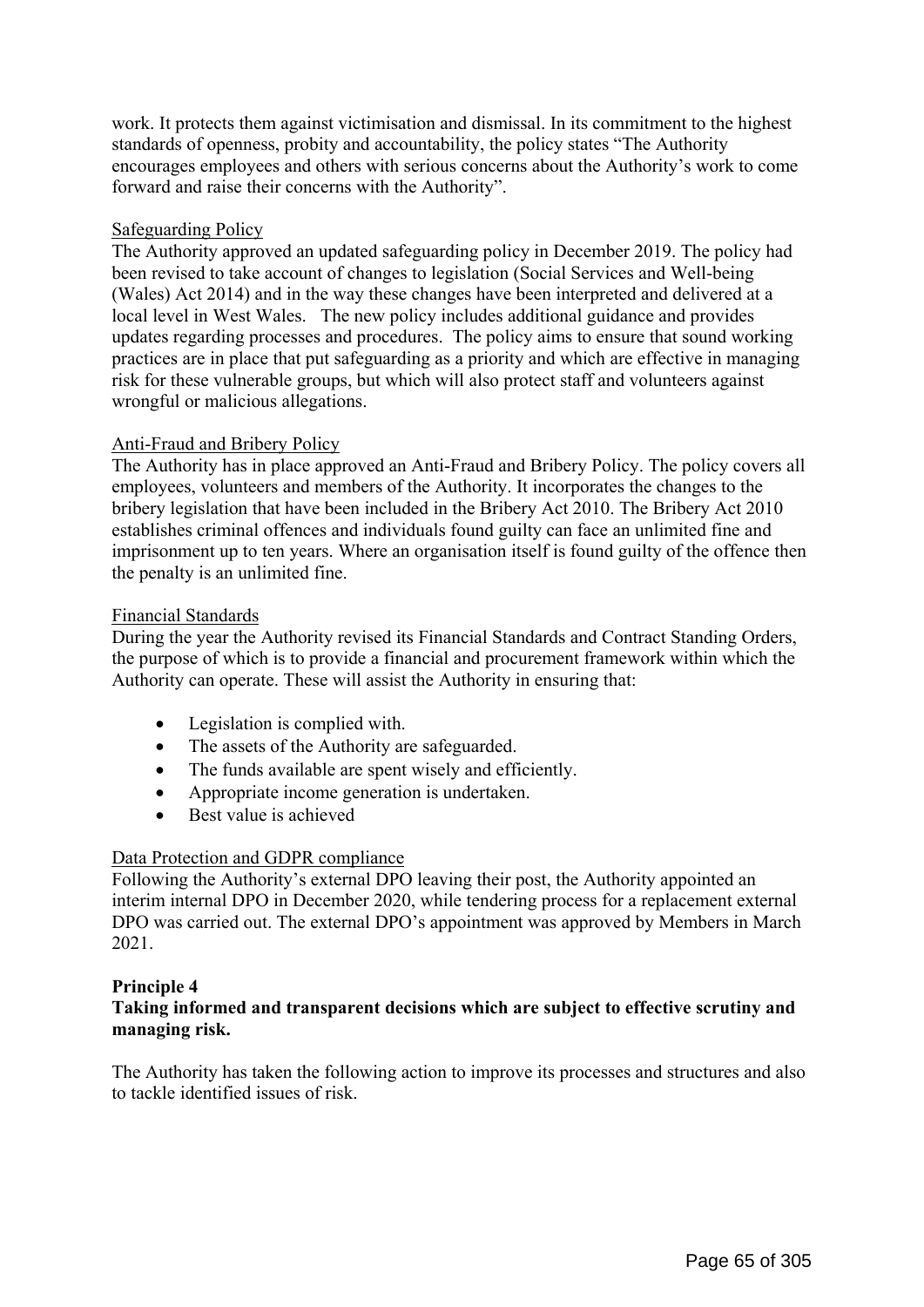work. It protects them against victimisation and dismissal. In its commitment to the highest standards of openness, probity and accountability, the policy states "The Authority encourages employees and others with serious concerns about the Authority's work to come forward and raise their concerns with the Authority".

## Safeguarding Policy

The Authority approved an updated safeguarding policy in December 2019. The policy had been revised to take account of changes to legislation (Social Services and Well-being (Wales) Act 2014) and in the way these changes have been interpreted and delivered at a local level in West Wales. The new policy includes additional guidance and provides updates regarding processes and procedures. The policy aims to ensure that sound working practices are in place that put safeguarding as a priority and which are effective in managing risk for these vulnerable groups, but which will also protect staff and volunteers against wrongful or malicious allegations.

## Anti-Fraud and Bribery Policy

The Authority has in place approved an Anti-Fraud and Bribery Policy. The policy covers all employees, volunteers and members of the Authority. It incorporates the changes to the bribery legislation that have been included in the Bribery Act 2010. The Bribery Act 2010 establishes criminal offences and individuals found guilty can face an unlimited fine and imprisonment up to ten years. Where an organisation itself is found guilty of the offence then the penalty is an unlimited fine.

## Financial Standards

During the year the Authority revised its Financial Standards and Contract Standing Orders, the purpose of which is to provide a financial and procurement framework within which the Authority can operate. These will assist the Authority in ensuring that:

- Legislation is complied with.
- The assets of the Authority are safeguarded.
- The funds available are spent wisely and efficiently.
- Appropriate income generation is undertaken.
- Best value is achieved

# Data Protection and GDPR compliance

Following the Authority's external DPO leaving their post, the Authority appointed an interim internal DPO in December 2020, while tendering process for a replacement external DPO was carried out. The external DPO's appointment was approved by Members in March 2021.

## **Principle 4**

# **Taking informed and transparent decisions which are subject to effective scrutiny and managing risk.**

The Authority has taken the following action to improve its processes and structures and also to tackle identified issues of risk.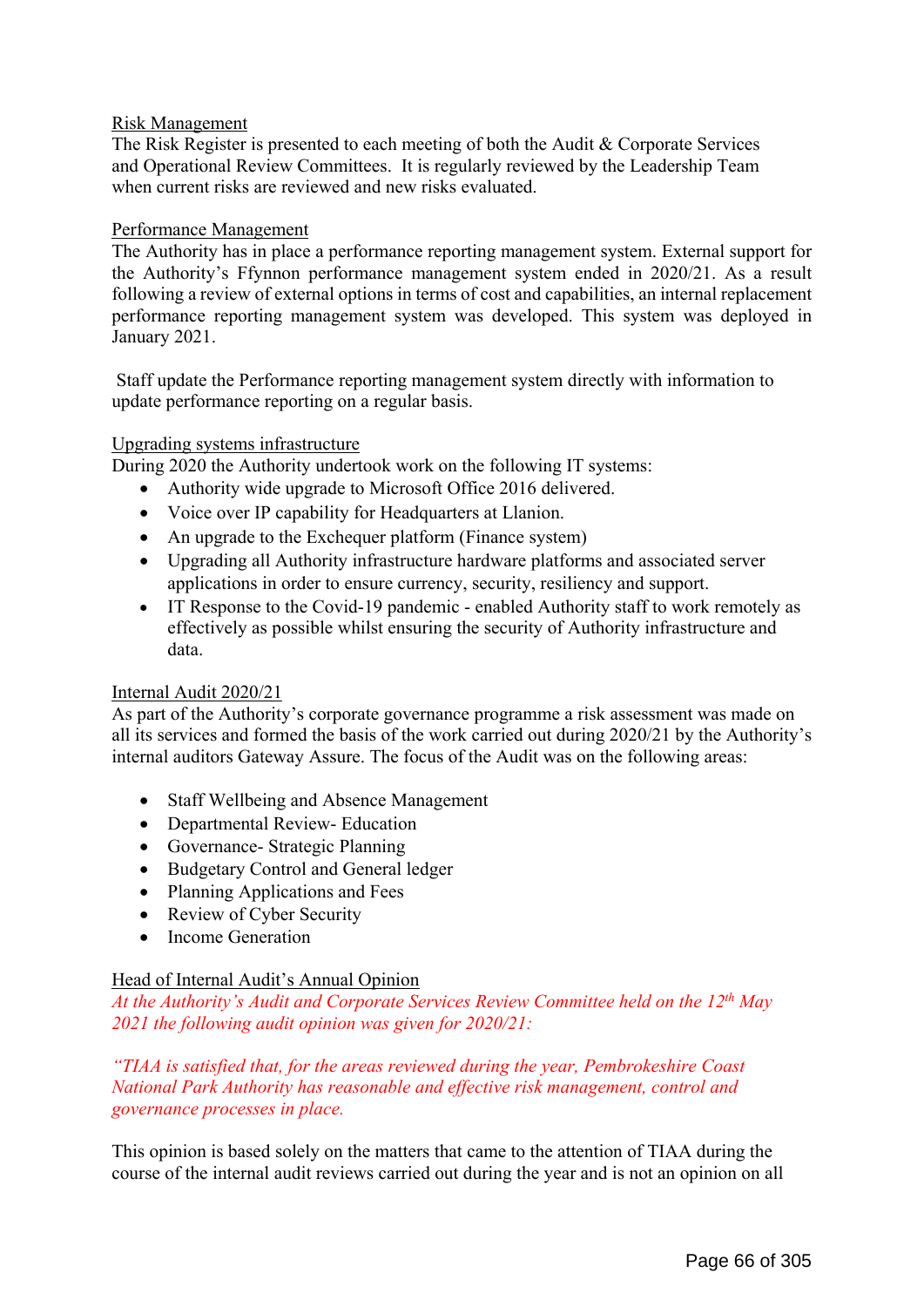## Risk Management

The Risk Register is presented to each meeting of both the Audit & Corporate Services and Operational Review Committees. It is regularly reviewed by the Leadership Team when current risks are reviewed and new risks evaluated.

## Performance Management

The Authority has in place a performance reporting management system. External support for the Authority's Ffynnon performance management system ended in 2020/21. As a result following a review of external options in terms of cost and capabilities, an internal replacement performance reporting management system was developed. This system was deployed in January 2021.

 Staff update the Performance reporting management system directly with information to update performance reporting on a regular basis.

## Upgrading systems infrastructure

During 2020 the Authority undertook work on the following IT systems:

- Authority wide upgrade to Microsoft Office 2016 delivered.
- Voice over IP capability for Headquarters at Llanion.
- An upgrade to the Exchequer platform (Finance system)
- Upgrading all Authority infrastructure hardware platforms and associated server applications in order to ensure currency, security, resiliency and support.
- IT Response to the Covid-19 pandemic enabled Authority staff to work remotely as effectively as possible whilst ensuring the security of Authority infrastructure and data.

## Internal Audit 2020/21

As part of the Authority's corporate governance programme a risk assessment was made on all its services and formed the basis of the work carried out during 2020/21 by the Authority's internal auditors Gateway Assure. The focus of the Audit was on the following areas:

- Staff Wellbeing and Absence Management
- Departmental Review- Education
- Governance- Strategic Planning
- Budgetary Control and General ledger
- Planning Applications and Fees
- Review of Cyber Security
- Income Generation

# Head of Internal Audit's Annual Opinion

*At the Authority's Audit and Corporate Services Review Committee held on the 12th May 2021 the following audit opinion was given for 2020/21:* 

# *"TIAA is satisfied that, for the areas reviewed during the year, Pembrokeshire Coast National Park Authority has reasonable and effective risk management, control and governance processes in place.*

This opinion is based solely on the matters that came to the attention of TIAA during the course of the internal audit reviews carried out during the year and is not an opinion on all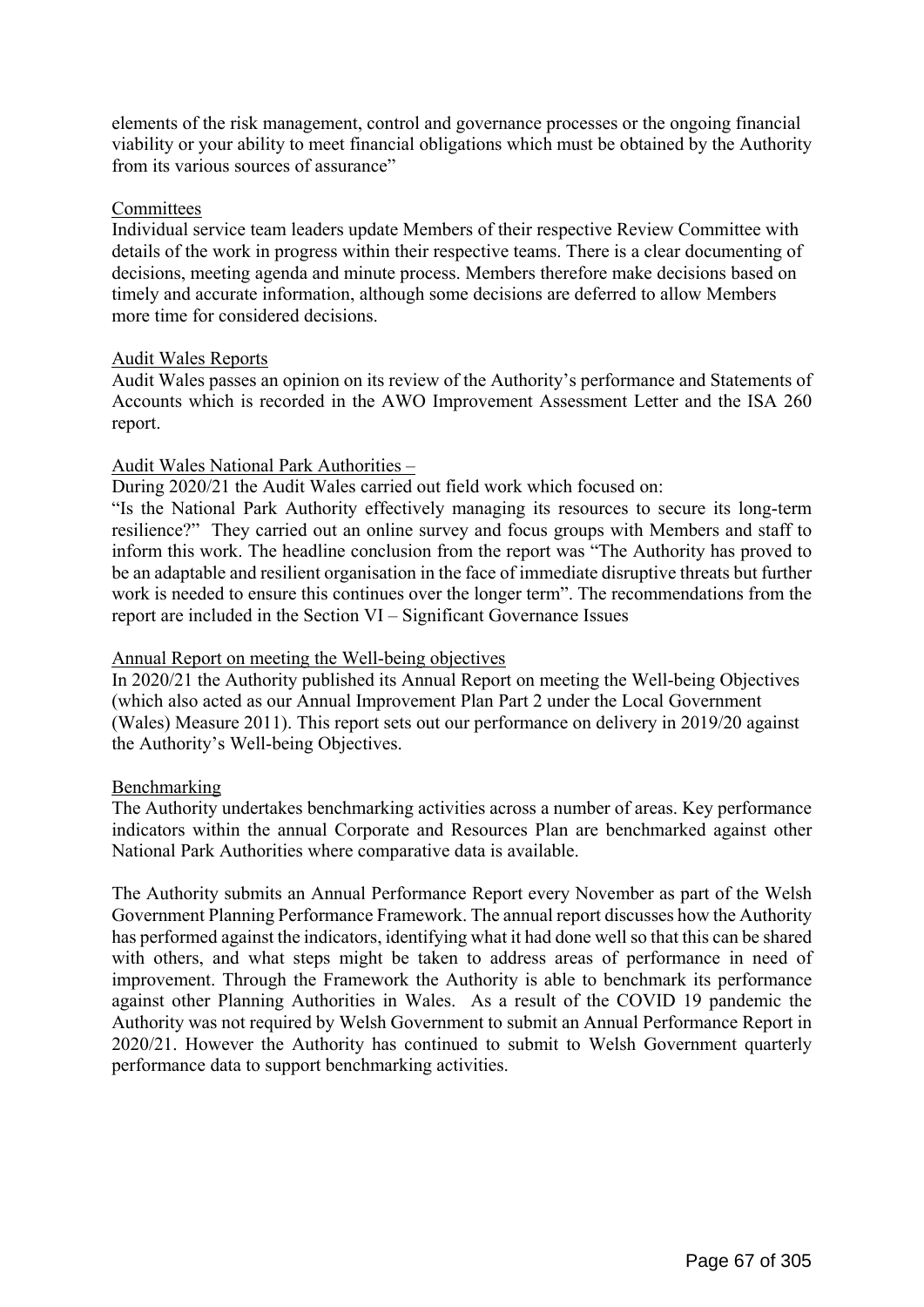elements of the risk management, control and governance processes or the ongoing financial viability or your ability to meet financial obligations which must be obtained by the Authority from its various sources of assurance"

#### **Committees**

Individual service team leaders update Members of their respective Review Committee with details of the work in progress within their respective teams. There is a clear documenting of decisions, meeting agenda and minute process. Members therefore make decisions based on timely and accurate information, although some decisions are deferred to allow Members more time for considered decisions.

## Audit Wales Reports

Audit Wales passes an opinion on its review of the Authority's performance and Statements of Accounts which is recorded in the AWO Improvement Assessment Letter and the ISA 260 report.

## Audit Wales National Park Authorities –

During 2020/21 the Audit Wales carried out field work which focused on:

"Is the National Park Authority effectively managing its resources to secure its long-term resilience?" They carried out an online survey and focus groups with Members and staff to inform this work. The headline conclusion from the report was "The Authority has proved to be an adaptable and resilient organisation in the face of immediate disruptive threats but further work is needed to ensure this continues over the longer term". The recommendations from the report are included in the Section VI – Significant Governance Issues

#### Annual Report on meeting the Well-being objectives

In 2020/21 the Authority published its Annual Report on meeting the Well-being Objectives (which also acted as our Annual Improvement Plan Part 2 under the Local Government (Wales) Measure 2011). This report sets out our performance on delivery in 2019/20 against the Authority's Well-being Objectives.

## Benchmarking

The Authority undertakes benchmarking activities across a number of areas. Key performance indicators within the annual Corporate and Resources Plan are benchmarked against other National Park Authorities where comparative data is available.

The Authority submits an Annual Performance Report every November as part of the Welsh Government Planning Performance Framework. The annual report discusses how the Authority has performed against the indicators, identifying what it had done well so that this can be shared with others, and what steps might be taken to address areas of performance in need of improvement. Through the Framework the Authority is able to benchmark its performance against other Planning Authorities in Wales. As a result of the COVID 19 pandemic the Authority was not required by Welsh Government to submit an Annual Performance Report in 2020/21. However the Authority has continued to submit to Welsh Government quarterly performance data to support benchmarking activities.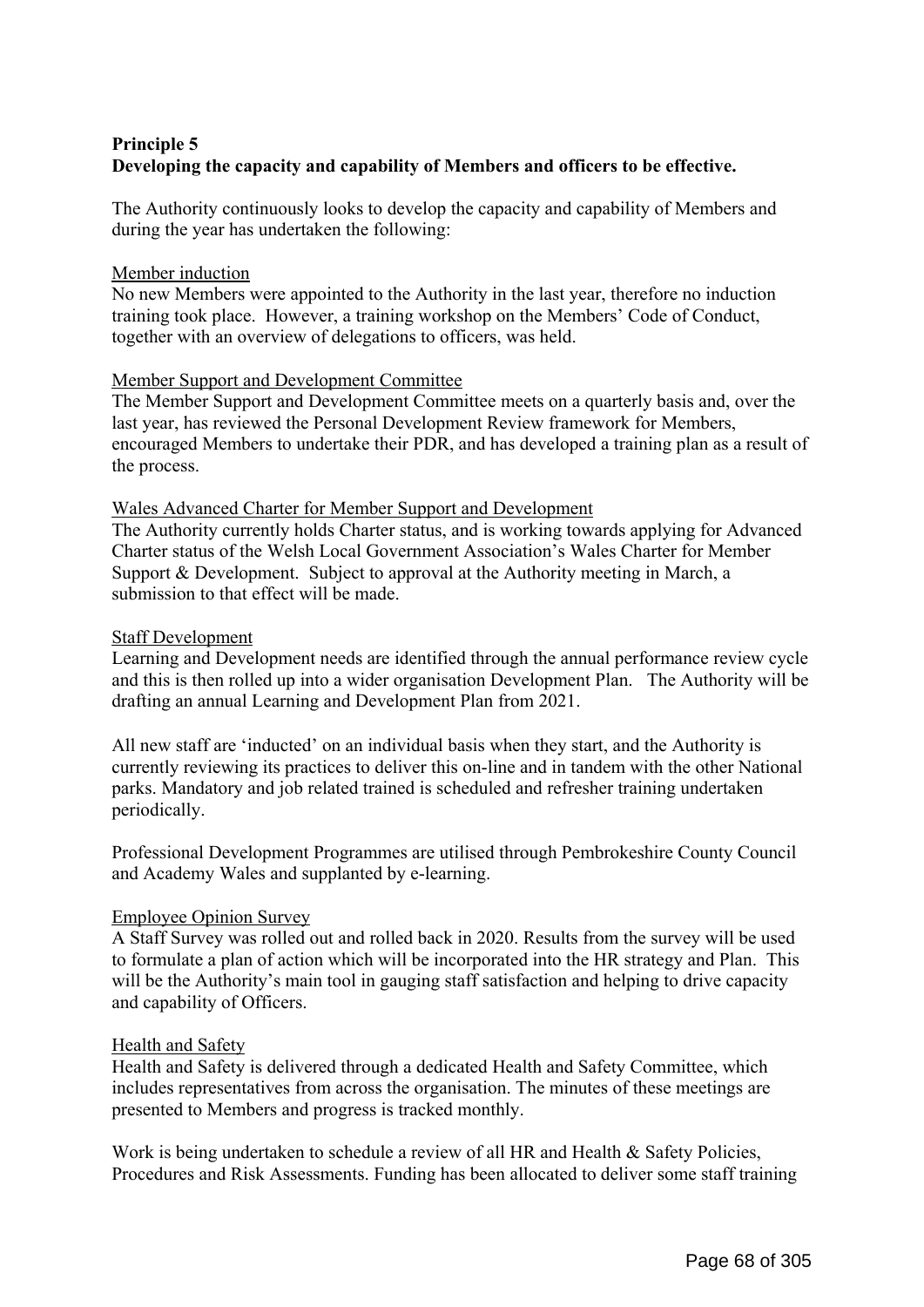# **Principle 5 Developing the capacity and capability of Members and officers to be effective.**

The Authority continuously looks to develop the capacity and capability of Members and during the year has undertaken the following:

#### Member induction

No new Members were appointed to the Authority in the last year, therefore no induction training took place. However, a training workshop on the Members' Code of Conduct, together with an overview of delegations to officers, was held.

#### Member Support and Development Committee

The Member Support and Development Committee meets on a quarterly basis and, over the last year, has reviewed the Personal Development Review framework for Members, encouraged Members to undertake their PDR, and has developed a training plan as a result of the process.

#### Wales Advanced Charter for Member Support and Development

The Authority currently holds Charter status, and is working towards applying for Advanced Charter status of the Welsh Local Government Association's Wales Charter for Member Support & Development. Subject to approval at the Authority meeting in March, a submission to that effect will be made.

#### Staff Development

Learning and Development needs are identified through the annual performance review cycle and this is then rolled up into a wider organisation Development Plan. The Authority will be drafting an annual Learning and Development Plan from 2021.

All new staff are 'inducted' on an individual basis when they start, and the Authority is currently reviewing its practices to deliver this on-line and in tandem with the other National parks. Mandatory and job related trained is scheduled and refresher training undertaken periodically.

Professional Development Programmes are utilised through Pembrokeshire County Council and Academy Wales and supplanted by e-learning.

## Employee Opinion Survey

A Staff Survey was rolled out and rolled back in 2020. Results from the survey will be used to formulate a plan of action which will be incorporated into the HR strategy and Plan. This will be the Authority's main tool in gauging staff satisfaction and helping to drive capacity and capability of Officers.

## Health and Safety

Health and Safety is delivered through a dedicated Health and Safety Committee, which includes representatives from across the organisation. The minutes of these meetings are presented to Members and progress is tracked monthly.

Work is being undertaken to schedule a review of all HR and Health & Safety Policies, Procedures and Risk Assessments. Funding has been allocated to deliver some staff training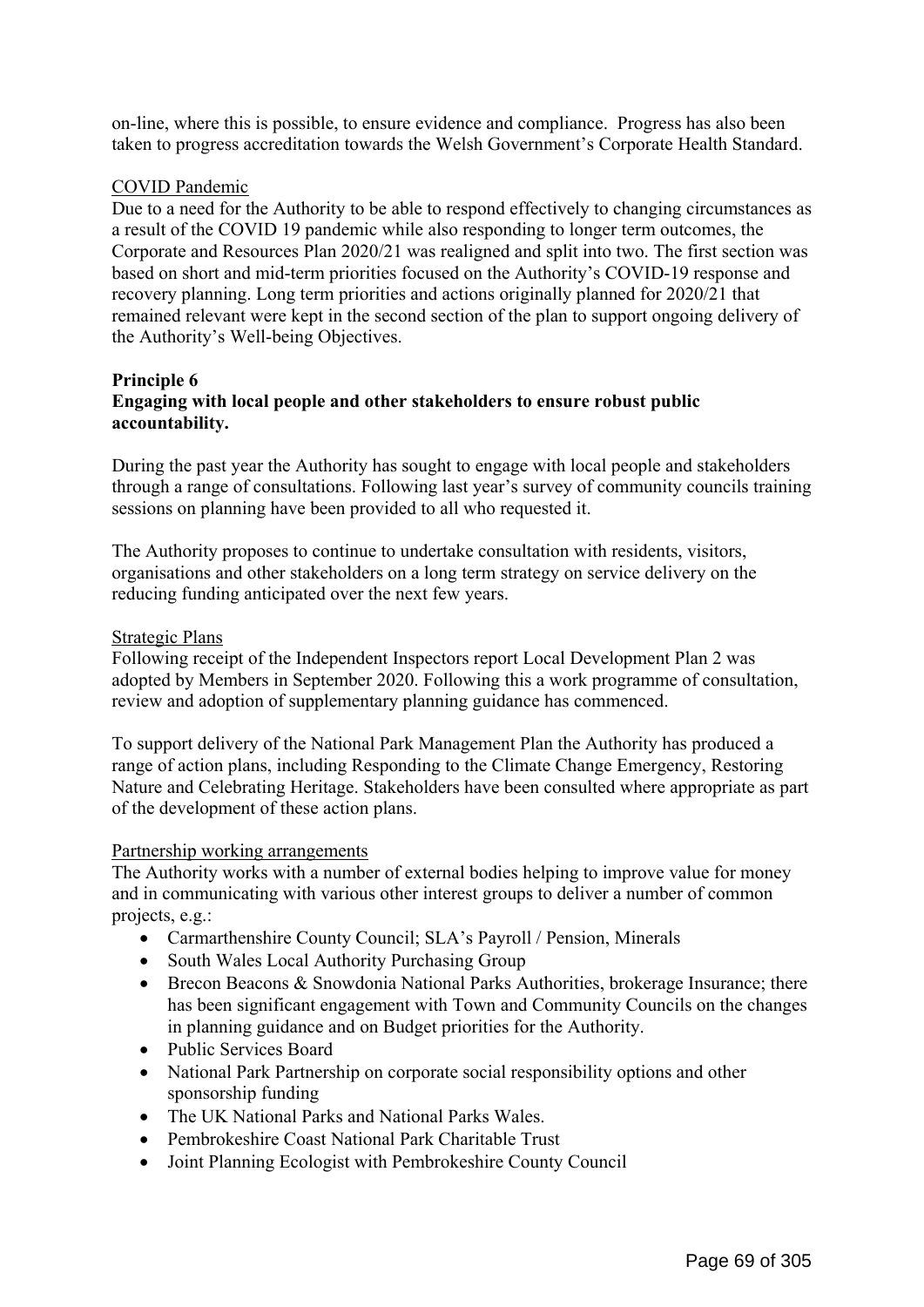on-line, where this is possible, to ensure evidence and compliance. Progress has also been taken to progress accreditation towards the Welsh Government's Corporate Health Standard.

## COVID Pandemic

Due to a need for the Authority to be able to respond effectively to changing circumstances as a result of the COVID 19 pandemic while also responding to longer term outcomes, the Corporate and Resources Plan 2020/21 was realigned and split into two. The first section was based on short and mid-term priorities focused on the Authority's COVID-19 response and recovery planning. Long term priorities and actions originally planned for 2020/21 that remained relevant were kept in the second section of the plan to support ongoing delivery of the Authority's Well-being Objectives.

## **Principle 6 Engaging with local people and other stakeholders to ensure robust public accountability.**

During the past year the Authority has sought to engage with local people and stakeholders through a range of consultations. Following last year's survey of community councils training sessions on planning have been provided to all who requested it.

The Authority proposes to continue to undertake consultation with residents, visitors, organisations and other stakeholders on a long term strategy on service delivery on the reducing funding anticipated over the next few years.

## Strategic Plans

Following receipt of the Independent Inspectors report Local Development Plan 2 was adopted by Members in September 2020. Following this a work programme of consultation, review and adoption of supplementary planning guidance has commenced.

To support delivery of the National Park Management Plan the Authority has produced a range of action plans, including Responding to the Climate Change Emergency, Restoring Nature and Celebrating Heritage. Stakeholders have been consulted where appropriate as part of the development of these action plans.

## Partnership working arrangements

The Authority works with a number of external bodies helping to improve value for money and in communicating with various other interest groups to deliver a number of common projects, e.g.:

- Carmarthenshire County Council; SLA's Payroll / Pension, Minerals
- South Wales Local Authority Purchasing Group
- Brecon Beacons & Snowdonia National Parks Authorities, brokerage Insurance; there has been significant engagement with Town and Community Councils on the changes in planning guidance and on Budget priorities for the Authority.
- Public Services Board
- National Park Partnership on corporate social responsibility options and other sponsorship funding
- The UK National Parks and National Parks Wales.
- Pembrokeshire Coast National Park Charitable Trust
- Joint Planning Ecologist with Pembrokeshire County Council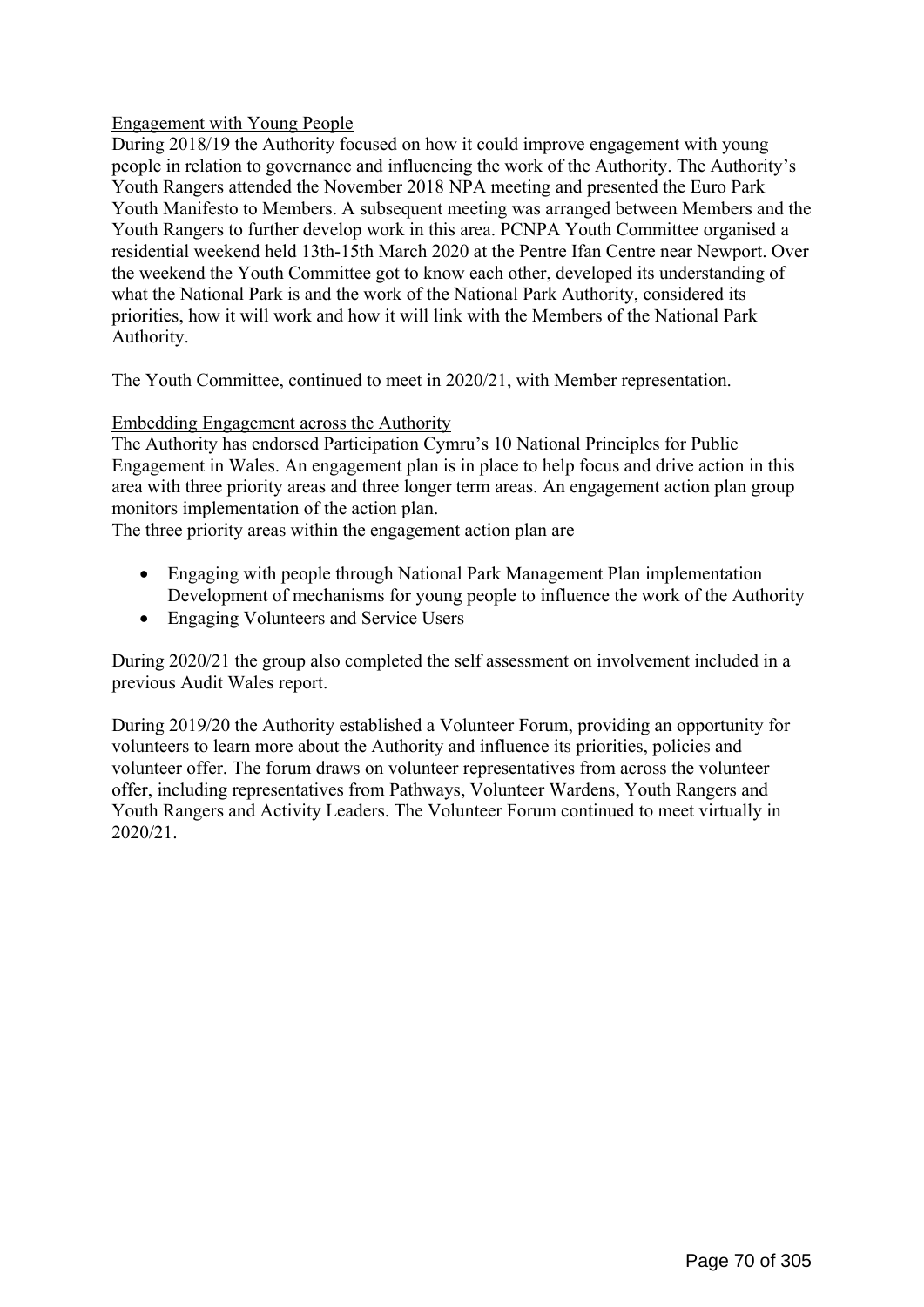# Engagement with Young People

During 2018/19 the Authority focused on how it could improve engagement with young people in relation to governance and influencing the work of the Authority. The Authority's Youth Rangers attended the November 2018 NPA meeting and presented the Euro Park Youth Manifesto to Members. A subsequent meeting was arranged between Members and the Youth Rangers to further develop work in this area. PCNPA Youth Committee organised a residential weekend held 13th-15th March 2020 at the Pentre Ifan Centre near Newport. Over the weekend the Youth Committee got to know each other, developed its understanding of what the National Park is and the work of the National Park Authority, considered its priorities, how it will work and how it will link with the Members of the National Park Authority.

The Youth Committee, continued to meet in 2020/21, with Member representation.

# Embedding Engagement across the Authority

The Authority has endorsed Participation Cymru's 10 National Principles for Public Engagement in Wales. An engagement plan is in place to help focus and drive action in this area with three priority areas and three longer term areas. An engagement action plan group monitors implementation of the action plan.

The three priority areas within the engagement action plan are

- Engaging with people through National Park Management Plan implementation Development of mechanisms for young people to influence the work of the Authority
- Engaging Volunteers and Service Users

During 2020/21 the group also completed the self assessment on involvement included in a previous Audit Wales report.

During 2019/20 the Authority established a Volunteer Forum, providing an opportunity for volunteers to learn more about the Authority and influence its priorities, policies and volunteer offer. The forum draws on volunteer representatives from across the volunteer offer, including representatives from Pathways, Volunteer Wardens, Youth Rangers and Youth Rangers and Activity Leaders. The Volunteer Forum continued to meet virtually in 2020/21.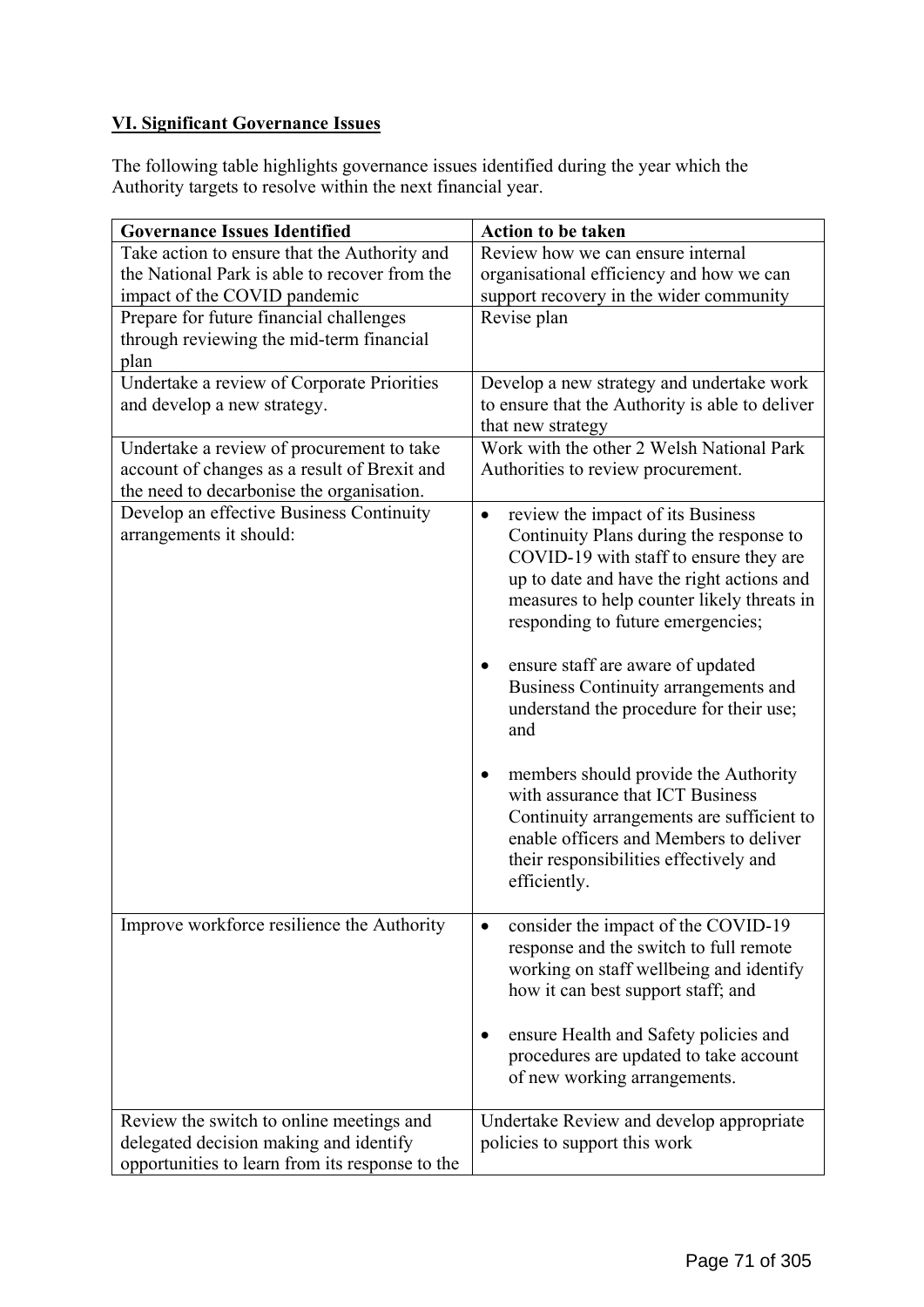# **VI. Significant Governance Issues**

The following table highlights governance issues identified during the year which the Authority targets to resolve within the next financial year.

| <b>Governance Issues Identified</b>                                                                                                   | <b>Action to be taken</b>                                                                                                                                                                                                                                           |  |  |
|---------------------------------------------------------------------------------------------------------------------------------------|---------------------------------------------------------------------------------------------------------------------------------------------------------------------------------------------------------------------------------------------------------------------|--|--|
| Take action to ensure that the Authority and                                                                                          | Review how we can ensure internal                                                                                                                                                                                                                                   |  |  |
| the National Park is able to recover from the                                                                                         | organisational efficiency and how we can                                                                                                                                                                                                                            |  |  |
| impact of the COVID pandemic                                                                                                          | support recovery in the wider community                                                                                                                                                                                                                             |  |  |
| Prepare for future financial challenges                                                                                               | Revise plan                                                                                                                                                                                                                                                         |  |  |
| through reviewing the mid-term financial                                                                                              |                                                                                                                                                                                                                                                                     |  |  |
| plan                                                                                                                                  |                                                                                                                                                                                                                                                                     |  |  |
| Undertake a review of Corporate Priorities<br>and develop a new strategy.                                                             | Develop a new strategy and undertake work<br>to ensure that the Authority is able to deliver                                                                                                                                                                        |  |  |
|                                                                                                                                       | that new strategy                                                                                                                                                                                                                                                   |  |  |
| Undertake a review of procurement to take                                                                                             | Work with the other 2 Welsh National Park                                                                                                                                                                                                                           |  |  |
| account of changes as a result of Brexit and                                                                                          | Authorities to review procurement.                                                                                                                                                                                                                                  |  |  |
| the need to decarbonise the organisation.                                                                                             |                                                                                                                                                                                                                                                                     |  |  |
| Develop an effective Business Continuity<br>arrangements it should:                                                                   | review the impact of its Business<br>$\bullet$<br>Continuity Plans during the response to<br>COVID-19 with staff to ensure they are<br>up to date and have the right actions and<br>measures to help counter likely threats in<br>responding to future emergencies; |  |  |
|                                                                                                                                       | ensure staff are aware of updated<br>$\bullet$<br>Business Continuity arrangements and<br>understand the procedure for their use;<br>and                                                                                                                            |  |  |
|                                                                                                                                       | members should provide the Authority<br>$\bullet$<br>with assurance that ICT Business<br>Continuity arrangements are sufficient to<br>enable officers and Members to deliver<br>their responsibilities effectively and<br>efficiently.                              |  |  |
| Improve workforce resilience the Authority                                                                                            | consider the impact of the COVID-19<br>response and the switch to full remote<br>working on staff wellbeing and identify<br>how it can best support staff; and<br>ensure Health and Safety policies and<br>procedures are updated to take account                   |  |  |
| Review the switch to online meetings and<br>delegated decision making and identify<br>opportunities to learn from its response to the | of new working arrangements.<br>Undertake Review and develop appropriate<br>policies to support this work                                                                                                                                                           |  |  |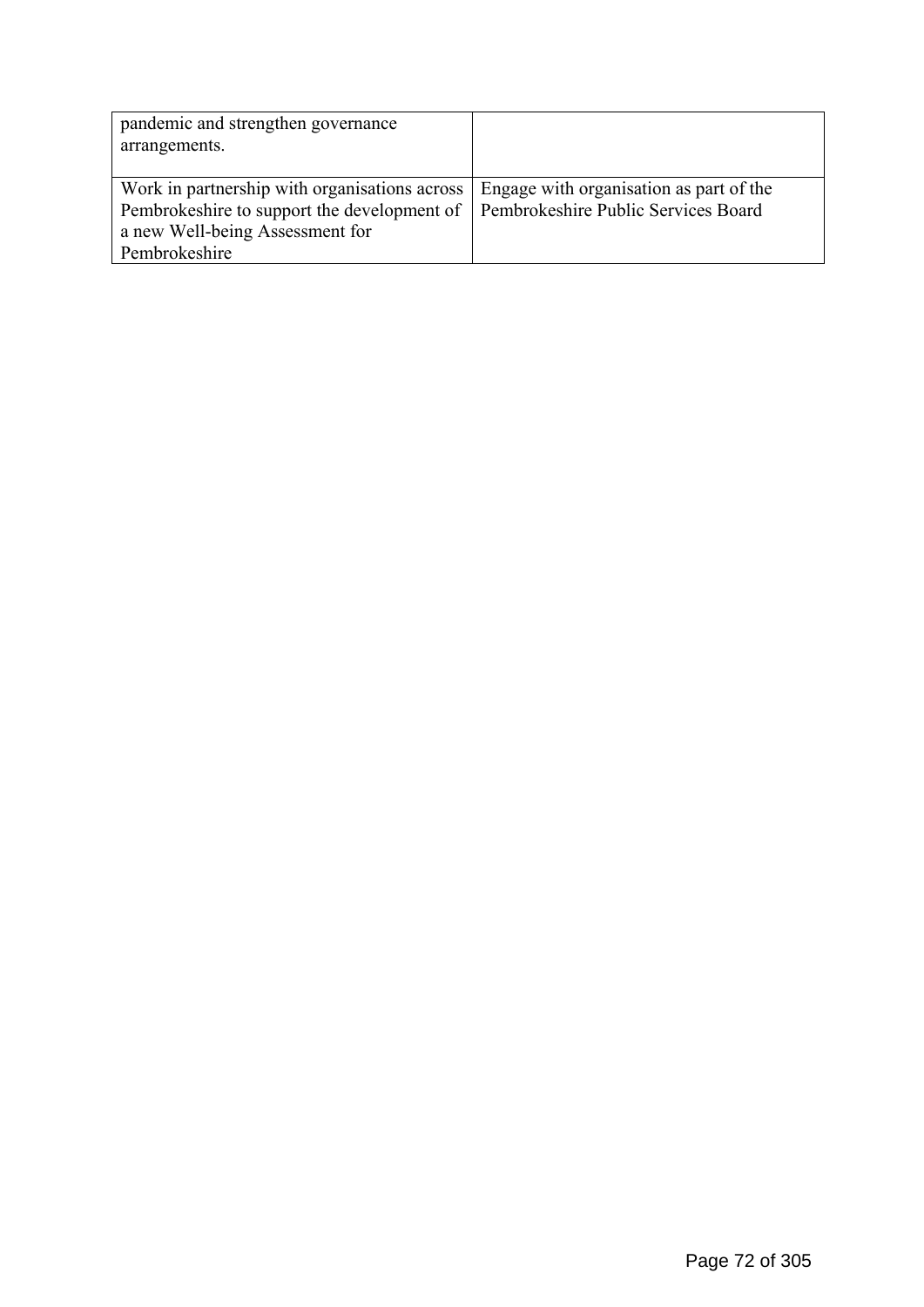| pandemic and strengthen governance<br>arrangements.                                                                                              |                                                                                |
|--------------------------------------------------------------------------------------------------------------------------------------------------|--------------------------------------------------------------------------------|
| Work in partnership with organisations across<br>Pembrokeshire to support the development of<br>a new Well-being Assessment for<br>Pembrokeshire | Engage with organisation as part of the<br>Pembrokeshire Public Services Board |